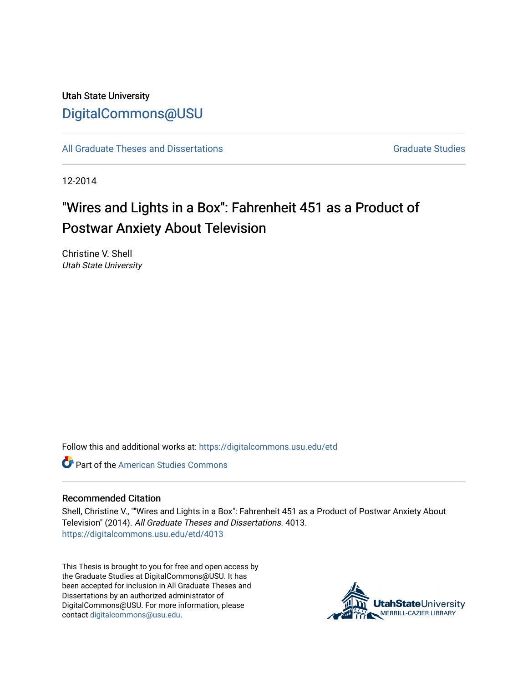## Utah State University [DigitalCommons@USU](https://digitalcommons.usu.edu/)

[All Graduate Theses and Dissertations](https://digitalcommons.usu.edu/etd) [Graduate Studies](https://digitalcommons.usu.edu/gradstudies) Graduate Studies

12-2014

# "Wires and Lights in a Box": Fahrenheit 451 as a Product of Postwar Anxiety About Television

Christine V. Shell Utah State University

Follow this and additional works at: [https://digitalcommons.usu.edu/etd](https://digitalcommons.usu.edu/etd?utm_source=digitalcommons.usu.edu%2Fetd%2F4013&utm_medium=PDF&utm_campaign=PDFCoverPages) 

**C** Part of the [American Studies Commons](http://network.bepress.com/hgg/discipline/439?utm_source=digitalcommons.usu.edu%2Fetd%2F4013&utm_medium=PDF&utm_campaign=PDFCoverPages)

#### Recommended Citation

Shell, Christine V., ""Wires and Lights in a Box": Fahrenheit 451 as a Product of Postwar Anxiety About Television" (2014). All Graduate Theses and Dissertations. 4013. [https://digitalcommons.usu.edu/etd/4013](https://digitalcommons.usu.edu/etd/4013?utm_source=digitalcommons.usu.edu%2Fetd%2F4013&utm_medium=PDF&utm_campaign=PDFCoverPages)

This Thesis is brought to you for free and open access by the Graduate Studies at DigitalCommons@USU. It has been accepted for inclusion in All Graduate Theses and Dissertations by an authorized administrator of DigitalCommons@USU. For more information, please contact [digitalcommons@usu.edu](mailto:digitalcommons@usu.edu).

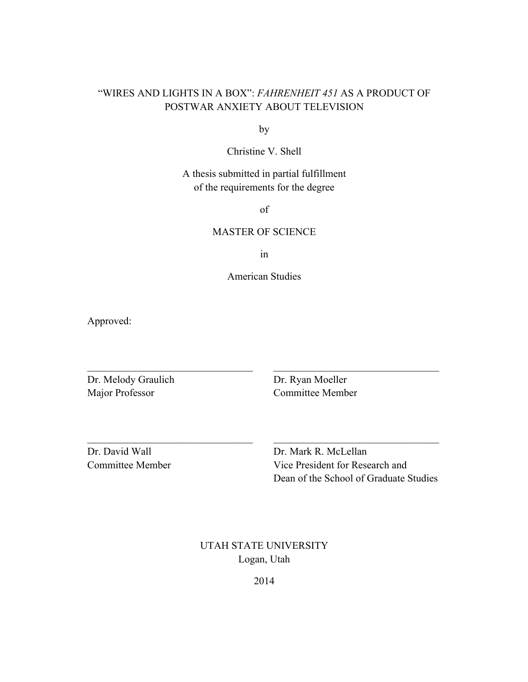### "WIRES AND LIGHTS IN A BOX": *FAHRENHEIT 451* AS A PRODUCT OF POSTWAR ANXIETY ABOUT TELEVISION

by

Christine V. Shell

## A thesis submitted in partial fulfillment of the requirements for the degree

of

#### MASTER OF SCIENCE

in

American Studies

 $\mathcal{L}_\text{max}$  , and the contribution of the contribution of the contribution of the contribution of the contribution of the contribution of the contribution of the contribution of the contribution of the contribution of t

 $\mathcal{L}_\text{max}$  , and the contribution of the contribution of the contribution of the contribution of the contribution of the contribution of the contribution of the contribution of the contribution of the contribution of t

Approved:

Dr. Melody Graulich Dr. Ryan Moeller Major Professor Committee Member

Dr. David Wall Dr. Mark R. McLellan Committee Member Vice President for Research and Dean of the School of Graduate Studies

> UTAH STATE UNIVERSITY Logan, Utah

> > 2014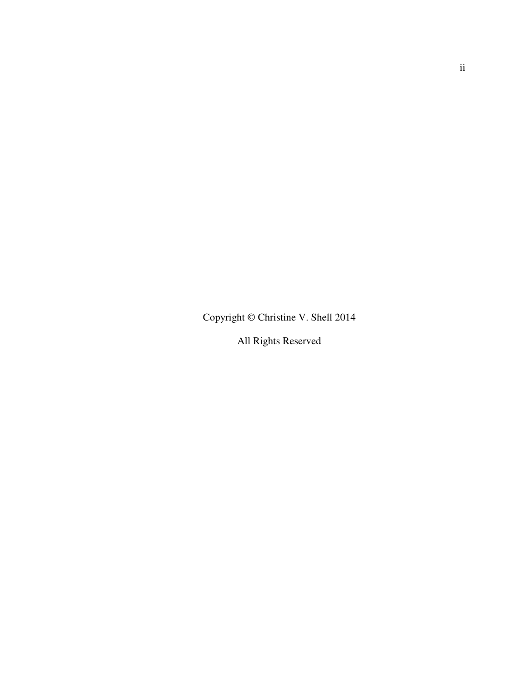Copyright © Christine V. Shell 2014

All Rights Reserved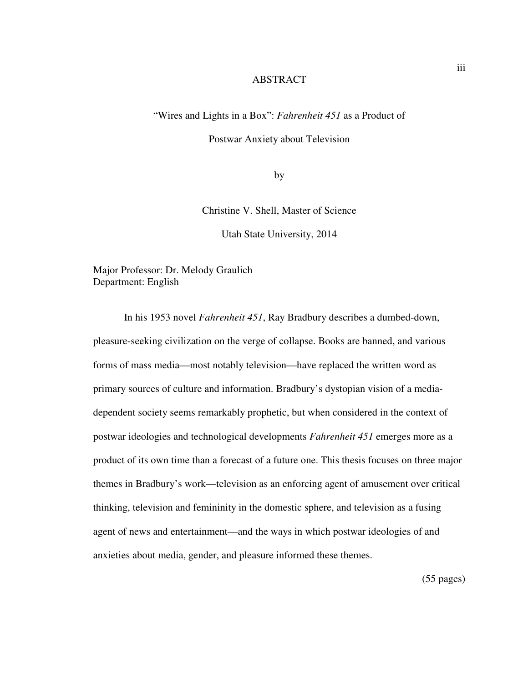#### ABSTRACT

"Wires and Lights in a Box": *Fahrenheit 451* as a Product of

Postwar Anxiety about Television

by

Christine V. Shell, Master of Science

Utah State University, 2014

Major Professor: Dr. Melody Graulich Department: English

In his 1953 novel *Fahrenheit 451*, Ray Bradbury describes a dumbed-down, pleasure-seeking civilization on the verge of collapse. Books are banned, and various forms of mass media—most notably television—have replaced the written word as primary sources of culture and information. Bradbury's dystopian vision of a mediadependent society seems remarkably prophetic, but when considered in the context of postwar ideologies and technological developments *Fahrenheit 451* emerges more as a product of its own time than a forecast of a future one. This thesis focuses on three major themes in Bradbury's work—television as an enforcing agent of amusement over critical thinking, television and femininity in the domestic sphere, and television as a fusing agent of news and entertainment—and the ways in which postwar ideologies of and anxieties about media, gender, and pleasure informed these themes.

(55 pages)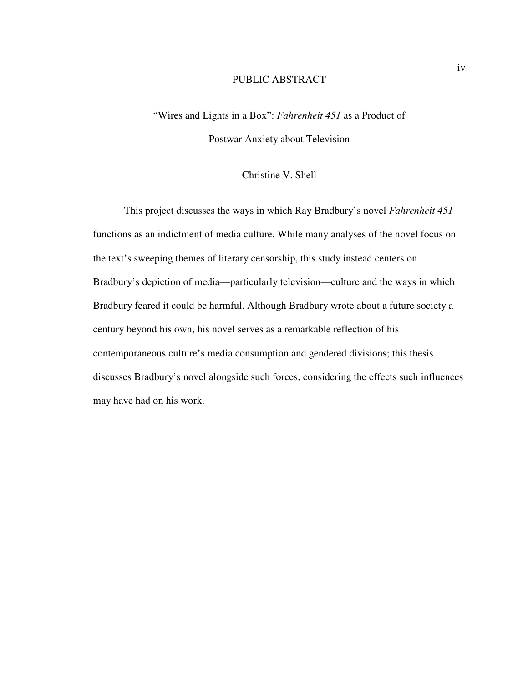#### PUBLIC ABSTRACT

"Wires and Lights in a Box": *Fahrenheit 451* as a Product of Postwar Anxiety about Television

#### Christine V. Shell

This project discusses the ways in which Ray Bradbury's novel *Fahrenheit 451* functions as an indictment of media culture. While many analyses of the novel focus on the text's sweeping themes of literary censorship, this study instead centers on Bradbury's depiction of media—particularly television—culture and the ways in which Bradbury feared it could be harmful. Although Bradbury wrote about a future society a century beyond his own, his novel serves as a remarkable reflection of his contemporaneous culture's media consumption and gendered divisions; this thesis discusses Bradbury's novel alongside such forces, considering the effects such influences may have had on his work.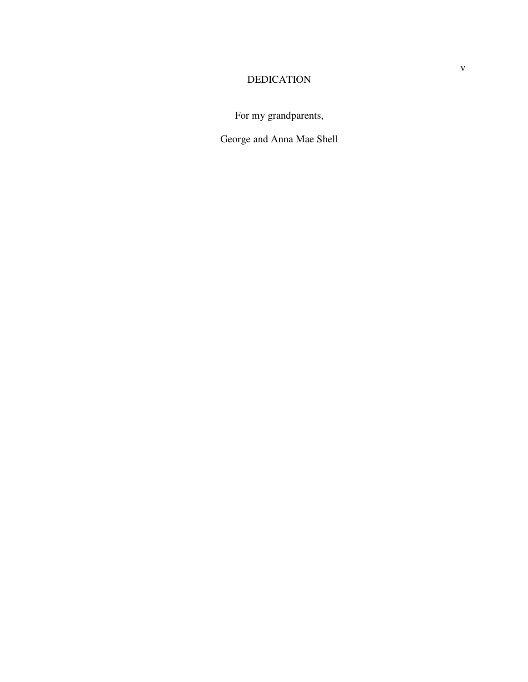## DEDICATION

For my grandparents,

George and Anna Mae Shell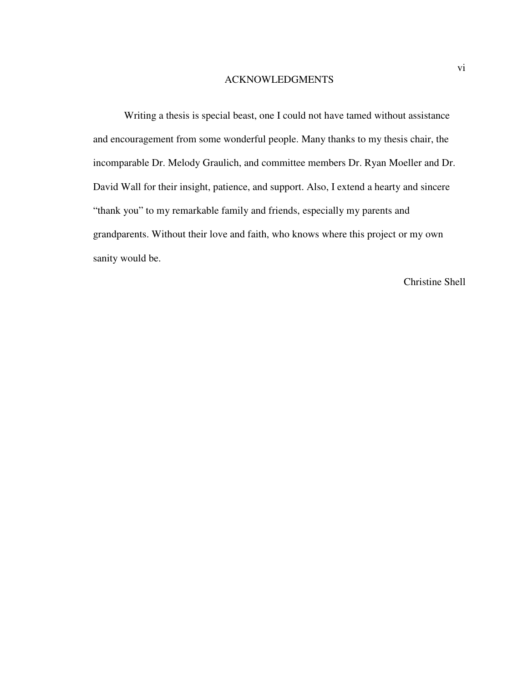#### ACKNOWLEDGMENTS

Writing a thesis is special beast, one I could not have tamed without assistance and encouragement from some wonderful people. Many thanks to my thesis chair, the incomparable Dr. Melody Graulich, and committee members Dr. Ryan Moeller and Dr. David Wall for their insight, patience, and support. Also, I extend a hearty and sincere "thank you" to my remarkable family and friends, especially my parents and grandparents. Without their love and faith, who knows where this project or my own sanity would be.

Christine Shell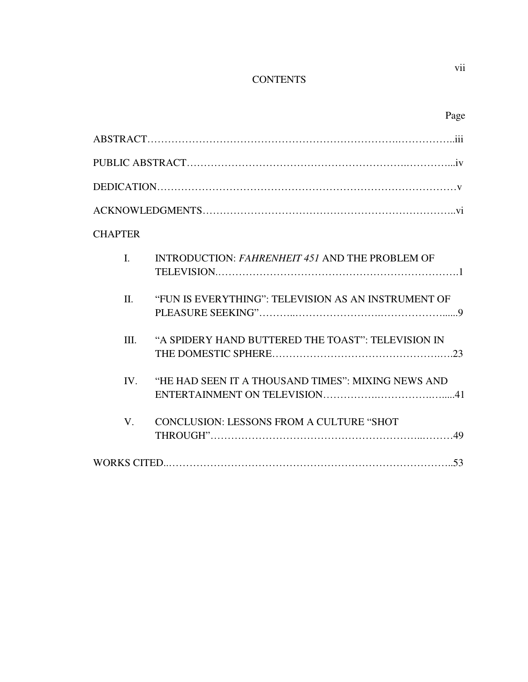### **CONTENTS**

vii

|                | Page                                                |
|----------------|-----------------------------------------------------|
|                |                                                     |
|                |                                                     |
|                |                                                     |
|                |                                                     |
| <b>CHAPTER</b> |                                                     |
| $\mathbf{I}$ . | INTRODUCTION: FAHRENHEIT 451 AND THE PROBLEM OF     |
| $\Pi$ .        | "FUN IS EVERYTHING": TELEVISION AS AN INSTRUMENT OF |
| III.           | "A SPIDERY HAND BUTTERED THE TOAST": TELEVISION IN  |
| IV.            | "HE HAD SEEN IT A THOUSAND TIMES": MIXING NEWS AND  |
| $V_{\cdot}$    | CONCLUSION: LESSONS FROM A CULTURE "SHOT            |
|                |                                                     |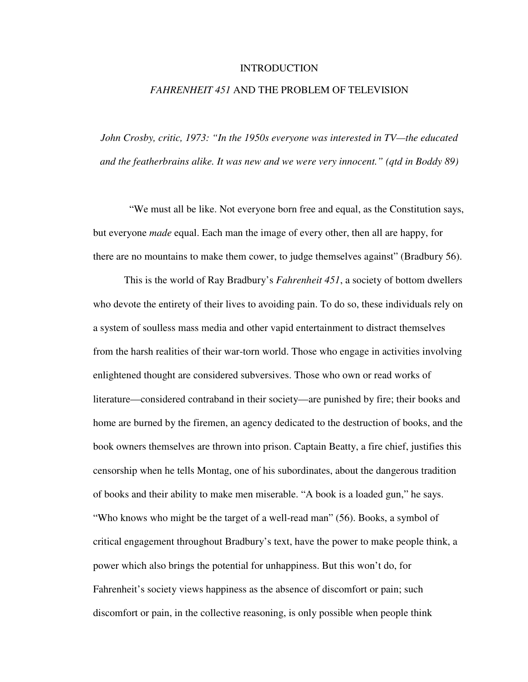#### INTRODUCTION

#### *FAHRENHEIT 451* AND THE PROBLEM OF TELEVISION

*John Crosby, critic, 1973: "In the 1950s everyone was interested in TV—the educated and the featherbrains alike. It was new and we were very innocent." (qtd in Boddy 89)* 

 "We must all be like. Not everyone born free and equal, as the Constitution says, but everyone *made* equal. Each man the image of every other, then all are happy, for there are no mountains to make them cower, to judge themselves against" (Bradbury 56).

This is the world of Ray Bradbury's *Fahrenheit 451*, a society of bottom dwellers who devote the entirety of their lives to avoiding pain. To do so, these individuals rely on a system of soulless mass media and other vapid entertainment to distract themselves from the harsh realities of their war-torn world. Those who engage in activities involving enlightened thought are considered subversives. Those who own or read works of literature—considered contraband in their society—are punished by fire; their books and home are burned by the firemen, an agency dedicated to the destruction of books, and the book owners themselves are thrown into prison. Captain Beatty, a fire chief, justifies this censorship when he tells Montag, one of his subordinates, about the dangerous tradition of books and their ability to make men miserable. "A book is a loaded gun," he says. "Who knows who might be the target of a well-read man" (56). Books, a symbol of critical engagement throughout Bradbury's text, have the power to make people think, a power which also brings the potential for unhappiness. But this won't do, for Fahrenheit's society views happiness as the absence of discomfort or pain; such discomfort or pain, in the collective reasoning, is only possible when people think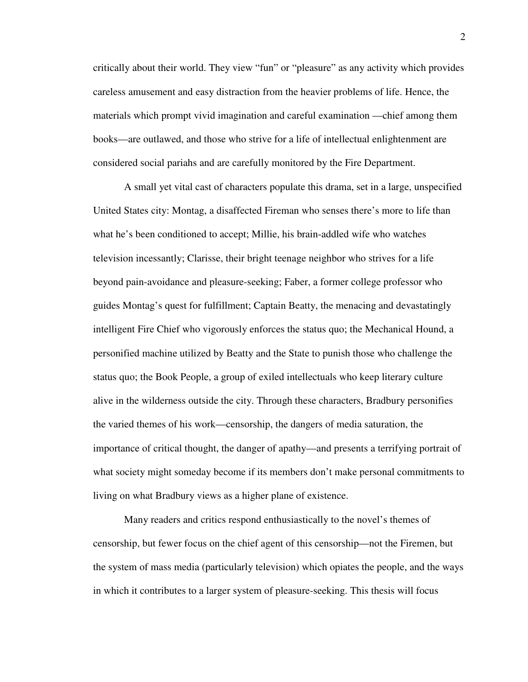critically about their world. They view "fun" or "pleasure" as any activity which provides careless amusement and easy distraction from the heavier problems of life. Hence, the materials which prompt vivid imagination and careful examination —chief among them books—are outlawed, and those who strive for a life of intellectual enlightenment are considered social pariahs and are carefully monitored by the Fire Department.

A small yet vital cast of characters populate this drama, set in a large, unspecified United States city: Montag, a disaffected Fireman who senses there's more to life than what he's been conditioned to accept; Millie, his brain-addled wife who watches television incessantly; Clarisse, their bright teenage neighbor who strives for a life beyond pain-avoidance and pleasure-seeking; Faber, a former college professor who guides Montag's quest for fulfillment; Captain Beatty, the menacing and devastatingly intelligent Fire Chief who vigorously enforces the status quo; the Mechanical Hound, a personified machine utilized by Beatty and the State to punish those who challenge the status quo; the Book People, a group of exiled intellectuals who keep literary culture alive in the wilderness outside the city. Through these characters, Bradbury personifies the varied themes of his work—censorship, the dangers of media saturation, the importance of critical thought, the danger of apathy—and presents a terrifying portrait of what society might someday become if its members don't make personal commitments to living on what Bradbury views as a higher plane of existence.

Many readers and critics respond enthusiastically to the novel's themes of censorship, but fewer focus on the chief agent of this censorship—not the Firemen, but the system of mass media (particularly television) which opiates the people, and the ways in which it contributes to a larger system of pleasure-seeking. This thesis will focus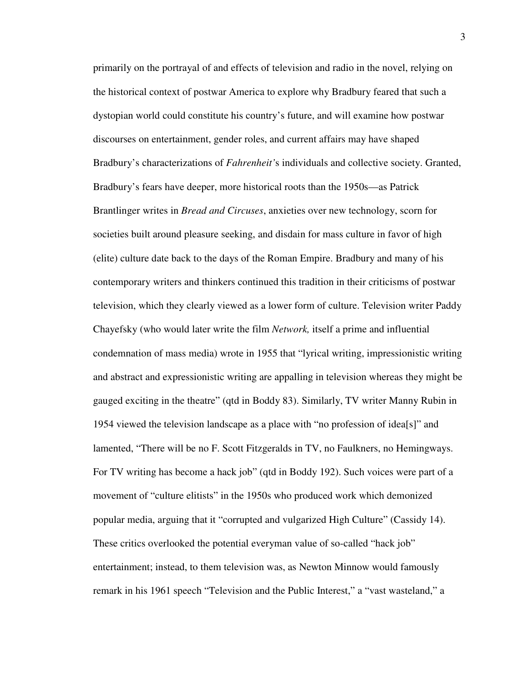primarily on the portrayal of and effects of television and radio in the novel, relying on the historical context of postwar America to explore why Bradbury feared that such a dystopian world could constitute his country's future, and will examine how postwar discourses on entertainment, gender roles, and current affairs may have shaped Bradbury's characterizations of *Fahrenheit'*s individuals and collective society. Granted, Bradbury's fears have deeper, more historical roots than the 1950s—as Patrick Brantlinger writes in *Bread and Circuses*, anxieties over new technology, scorn for societies built around pleasure seeking, and disdain for mass culture in favor of high (elite) culture date back to the days of the Roman Empire. Bradbury and many of his contemporary writers and thinkers continued this tradition in their criticisms of postwar television, which they clearly viewed as a lower form of culture. Television writer Paddy Chayefsky (who would later write the film *Network,* itself a prime and influential condemnation of mass media) wrote in 1955 that "lyrical writing, impressionistic writing and abstract and expressionistic writing are appalling in television whereas they might be gauged exciting in the theatre" (qtd in Boddy 83). Similarly, TV writer Manny Rubin in 1954 viewed the television landscape as a place with "no profession of idea[s]" and lamented, "There will be no F. Scott Fitzgeralds in TV, no Faulkners, no Hemingways. For TV writing has become a hack job" (qtd in Boddy 192). Such voices were part of a movement of "culture elitists" in the 1950s who produced work which demonized popular media, arguing that it "corrupted and vulgarized High Culture" (Cassidy 14). These critics overlooked the potential everyman value of so-called "hack job" entertainment; instead, to them television was, as Newton Minnow would famously remark in his 1961 speech "Television and the Public Interest," a "vast wasteland," a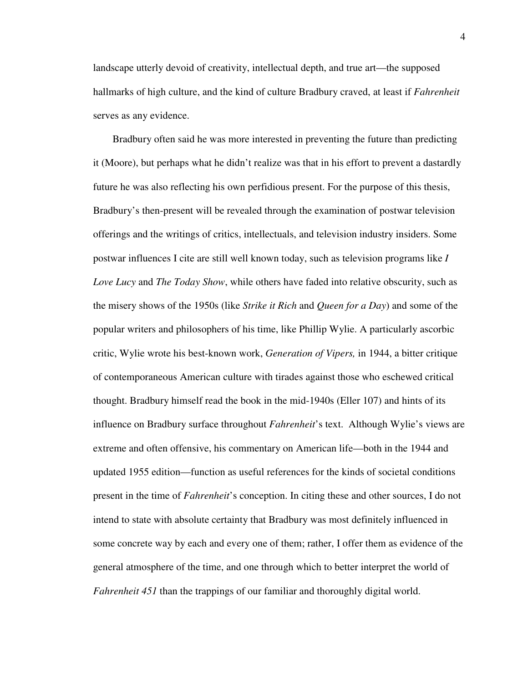landscape utterly devoid of creativity, intellectual depth, and true art—the supposed hallmarks of high culture, and the kind of culture Bradbury craved, at least if *Fahrenheit* serves as any evidence.

 Bradbury often said he was more interested in preventing the future than predicting it (Moore), but perhaps what he didn't realize was that in his effort to prevent a dastardly future he was also reflecting his own perfidious present. For the purpose of this thesis, Bradbury's then-present will be revealed through the examination of postwar television offerings and the writings of critics, intellectuals, and television industry insiders. Some postwar influences I cite are still well known today, such as television programs like *I Love Lucy* and *The Today Show*, while others have faded into relative obscurity, such as the misery shows of the 1950s (like *Strike it Rich* and *Queen for a Day*) and some of the popular writers and philosophers of his time, like Phillip Wylie. A particularly ascorbic critic, Wylie wrote his best-known work, *Generation of Vipers,* in 1944, a bitter critique of contemporaneous American culture with tirades against those who eschewed critical thought. Bradbury himself read the book in the mid-1940s (Eller 107) and hints of its influence on Bradbury surface throughout *Fahrenheit*'s text. Although Wylie's views are extreme and often offensive, his commentary on American life—both in the 1944 and updated 1955 edition—function as useful references for the kinds of societal conditions present in the time of *Fahrenheit*'s conception. In citing these and other sources, I do not intend to state with absolute certainty that Bradbury was most definitely influenced in some concrete way by each and every one of them; rather, I offer them as evidence of the general atmosphere of the time, and one through which to better interpret the world of *Fahrenheit 451* than the trappings of our familiar and thoroughly digital world.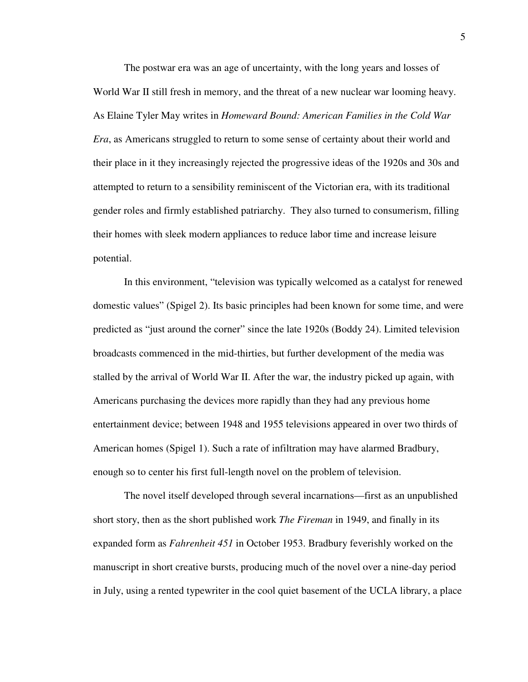The postwar era was an age of uncertainty, with the long years and losses of World War II still fresh in memory, and the threat of a new nuclear war looming heavy. As Elaine Tyler May writes in *Homeward Bound: American Families in the Cold War Era*, as Americans struggled to return to some sense of certainty about their world and their place in it they increasingly rejected the progressive ideas of the 1920s and 30s and attempted to return to a sensibility reminiscent of the Victorian era, with its traditional gender roles and firmly established patriarchy. They also turned to consumerism, filling their homes with sleek modern appliances to reduce labor time and increase leisure potential.

In this environment, "television was typically welcomed as a catalyst for renewed domestic values" (Spigel 2). Its basic principles had been known for some time, and were predicted as "just around the corner" since the late 1920s (Boddy 24). Limited television broadcasts commenced in the mid-thirties, but further development of the media was stalled by the arrival of World War II. After the war, the industry picked up again, with Americans purchasing the devices more rapidly than they had any previous home entertainment device; between 1948 and 1955 televisions appeared in over two thirds of American homes (Spigel 1). Such a rate of infiltration may have alarmed Bradbury, enough so to center his first full-length novel on the problem of television.

The novel itself developed through several incarnations—first as an unpublished short story, then as the short published work *The Fireman* in 1949, and finally in its expanded form as *Fahrenheit 451* in October 1953. Bradbury feverishly worked on the manuscript in short creative bursts, producing much of the novel over a nine-day period in July, using a rented typewriter in the cool quiet basement of the UCLA library, a place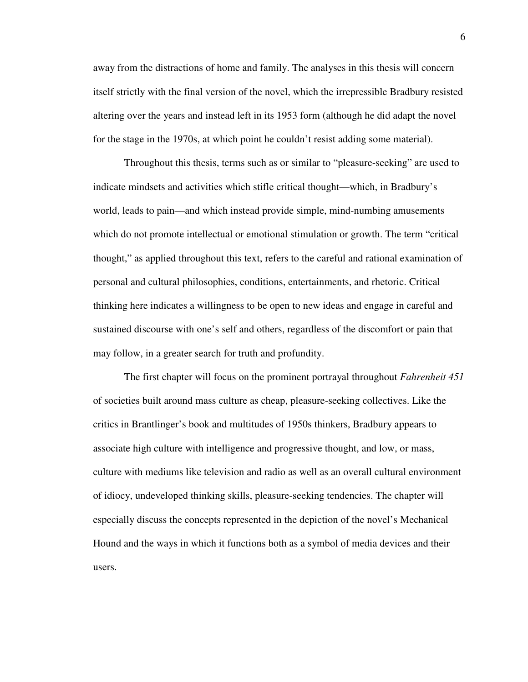away from the distractions of home and family. The analyses in this thesis will concern itself strictly with the final version of the novel, which the irrepressible Bradbury resisted altering over the years and instead left in its 1953 form (although he did adapt the novel for the stage in the 1970s, at which point he couldn't resist adding some material).

Throughout this thesis, terms such as or similar to "pleasure-seeking" are used to indicate mindsets and activities which stifle critical thought—which, in Bradbury's world, leads to pain—and which instead provide simple, mind-numbing amusements which do not promote intellectual or emotional stimulation or growth. The term "critical thought," as applied throughout this text, refers to the careful and rational examination of personal and cultural philosophies, conditions, entertainments, and rhetoric. Critical thinking here indicates a willingness to be open to new ideas and engage in careful and sustained discourse with one's self and others, regardless of the discomfort or pain that may follow, in a greater search for truth and profundity.

The first chapter will focus on the prominent portrayal throughout *Fahrenheit 451* of societies built around mass culture as cheap, pleasure-seeking collectives. Like the critics in Brantlinger's book and multitudes of 1950s thinkers, Bradbury appears to associate high culture with intelligence and progressive thought, and low, or mass, culture with mediums like television and radio as well as an overall cultural environment of idiocy, undeveloped thinking skills, pleasure-seeking tendencies. The chapter will especially discuss the concepts represented in the depiction of the novel's Mechanical Hound and the ways in which it functions both as a symbol of media devices and their users.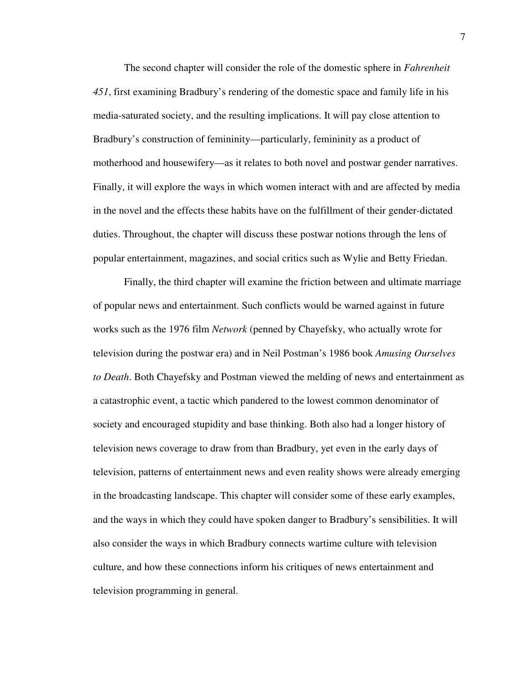The second chapter will consider the role of the domestic sphere in *Fahrenheit 451*, first examining Bradbury's rendering of the domestic space and family life in his media-saturated society, and the resulting implications. It will pay close attention to Bradbury's construction of femininity—particularly, femininity as a product of motherhood and housewifery—as it relates to both novel and postwar gender narratives. Finally, it will explore the ways in which women interact with and are affected by media in the novel and the effects these habits have on the fulfillment of their gender-dictated duties. Throughout, the chapter will discuss these postwar notions through the lens of popular entertainment, magazines, and social critics such as Wylie and Betty Friedan.

Finally, the third chapter will examine the friction between and ultimate marriage of popular news and entertainment. Such conflicts would be warned against in future works such as the 1976 film *Network* (penned by Chayefsky, who actually wrote for television during the postwar era) and in Neil Postman's 1986 book *Amusing Ourselves to Death*. Both Chayefsky and Postman viewed the melding of news and entertainment as a catastrophic event, a tactic which pandered to the lowest common denominator of society and encouraged stupidity and base thinking. Both also had a longer history of television news coverage to draw from than Bradbury, yet even in the early days of television, patterns of entertainment news and even reality shows were already emerging in the broadcasting landscape. This chapter will consider some of these early examples, and the ways in which they could have spoken danger to Bradbury's sensibilities. It will also consider the ways in which Bradbury connects wartime culture with television culture, and how these connections inform his critiques of news entertainment and television programming in general.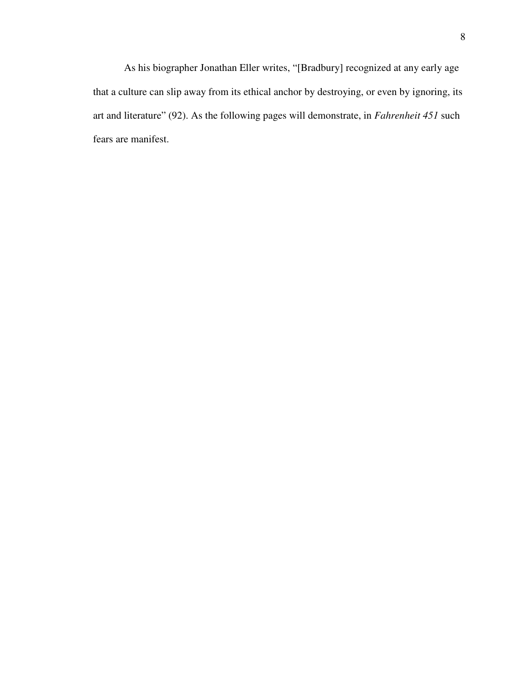As his biographer Jonathan Eller writes, "[Bradbury] recognized at any early age that a culture can slip away from its ethical anchor by destroying, or even by ignoring, its art and literature" (92). As the following pages will demonstrate, in *Fahrenheit 451* such fears are manifest.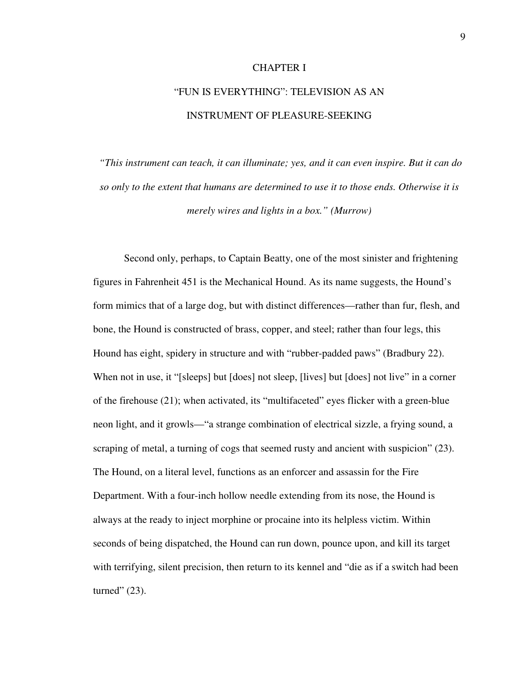#### CHAPTER I

## "FUN IS EVERYTHING": TELEVISION AS AN INSTRUMENT OF PLEASURE-SEEKING

 *"This instrument can teach, it can illuminate; yes, and it can even inspire. But it can do so only to the extent that humans are determined to use it to those ends. Otherwise it is merely wires and lights in a box." (Murrow)* 

Second only, perhaps, to Captain Beatty, one of the most sinister and frightening figures in Fahrenheit 451 is the Mechanical Hound. As its name suggests, the Hound's form mimics that of a large dog, but with distinct differences—rather than fur, flesh, and bone, the Hound is constructed of brass, copper, and steel; rather than four legs, this Hound has eight, spidery in structure and with "rubber-padded paws" (Bradbury 22). When not in use, it "[sleeps] but [does] not sleep, [lives] but [does] not live" in a corner of the firehouse (21); when activated, its "multifaceted" eyes flicker with a green-blue neon light, and it growls—"a strange combination of electrical sizzle, a frying sound, a scraping of metal, a turning of cogs that seemed rusty and ancient with suspicion" (23). The Hound, on a literal level, functions as an enforcer and assassin for the Fire Department. With a four-inch hollow needle extending from its nose, the Hound is always at the ready to inject morphine or procaine into its helpless victim. Within seconds of being dispatched, the Hound can run down, pounce upon, and kill its target with terrifying, silent precision, then return to its kennel and "die as if a switch had been turned"  $(23)$ .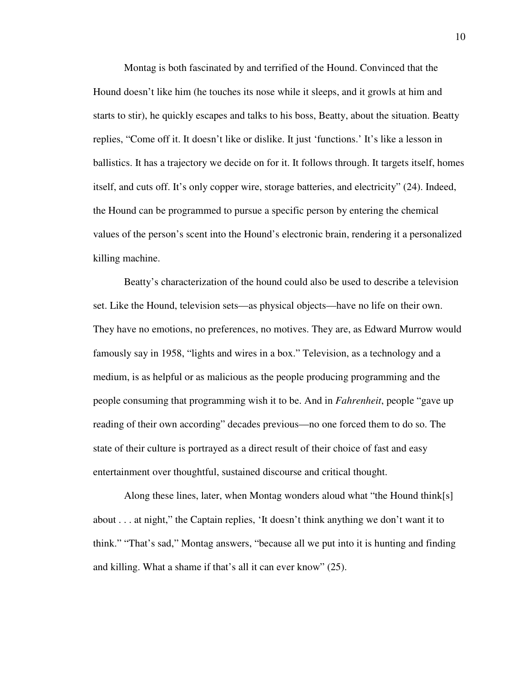Montag is both fascinated by and terrified of the Hound. Convinced that the Hound doesn't like him (he touches its nose while it sleeps, and it growls at him and starts to stir), he quickly escapes and talks to his boss, Beatty, about the situation. Beatty replies, "Come off it. It doesn't like or dislike. It just 'functions.' It's like a lesson in ballistics. It has a trajectory we decide on for it. It follows through. It targets itself, homes itself, and cuts off. It's only copper wire, storage batteries, and electricity" (24). Indeed, the Hound can be programmed to pursue a specific person by entering the chemical values of the person's scent into the Hound's electronic brain, rendering it a personalized killing machine.

Beatty's characterization of the hound could also be used to describe a television set. Like the Hound, television sets—as physical objects—have no life on their own. They have no emotions, no preferences, no motives. They are, as Edward Murrow would famously say in 1958, "lights and wires in a box." Television, as a technology and a medium, is as helpful or as malicious as the people producing programming and the people consuming that programming wish it to be. And in *Fahrenheit*, people "gave up reading of their own according" decades previous—no one forced them to do so. The state of their culture is portrayed as a direct result of their choice of fast and easy entertainment over thoughtful, sustained discourse and critical thought.

Along these lines, later, when Montag wonders aloud what "the Hound think[s] about . . . at night," the Captain replies, 'It doesn't think anything we don't want it to think." "That's sad," Montag answers, "because all we put into it is hunting and finding and killing. What a shame if that's all it can ever know" (25).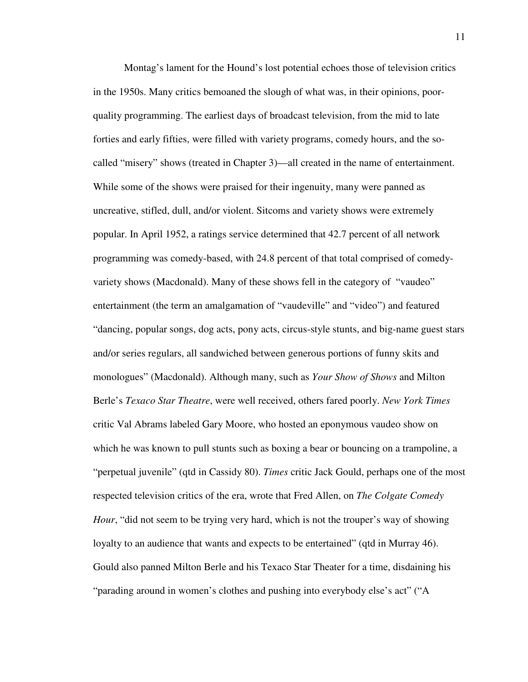Montag's lament for the Hound's lost potential echoes those of television critics in the 1950s. Many critics bemoaned the slough of what was, in their opinions, poorquality programming. The earliest days of broadcast television, from the mid to late forties and early fifties, were filled with variety programs, comedy hours, and the socalled "misery" shows (treated in Chapter 3)—all created in the name of entertainment. While some of the shows were praised for their ingenuity, many were panned as uncreative, stifled, dull, and/or violent. Sitcoms and variety shows were extremely popular. In April 1952, a ratings service determined that 42.7 percent of all network programming was comedy-based, with 24.8 percent of that total comprised of comedyvariety shows (Macdonald). Many of these shows fell in the category of "vaudeo" entertainment (the term an amalgamation of "vaudeville" and "video") and featured "dancing, popular songs, dog acts, pony acts, circus-style stunts, and big-name guest stars and/or series regulars, all sandwiched between generous portions of funny skits and monologues" (Macdonald). Although many, such as *Your Show of Shows* and Milton Berle's *Texaco Star Theatre*, were well received, others fared poorly. *New York Times* critic Val Abrams labeled Gary Moore, who hosted an eponymous vaudeo show on which he was known to pull stunts such as boxing a bear or bouncing on a trampoline, a "perpetual juvenile" (qtd in Cassidy 80). *Times* critic Jack Gould, perhaps one of the most respected television critics of the era, wrote that Fred Allen, on *The Colgate Comedy Hour*, "did not seem to be trying very hard, which is not the trouper's way of showing loyalty to an audience that wants and expects to be entertained" (qtd in Murray 46). Gould also panned Milton Berle and his Texaco Star Theater for a time, disdaining his "parading around in women's clothes and pushing into everybody else's act" ("A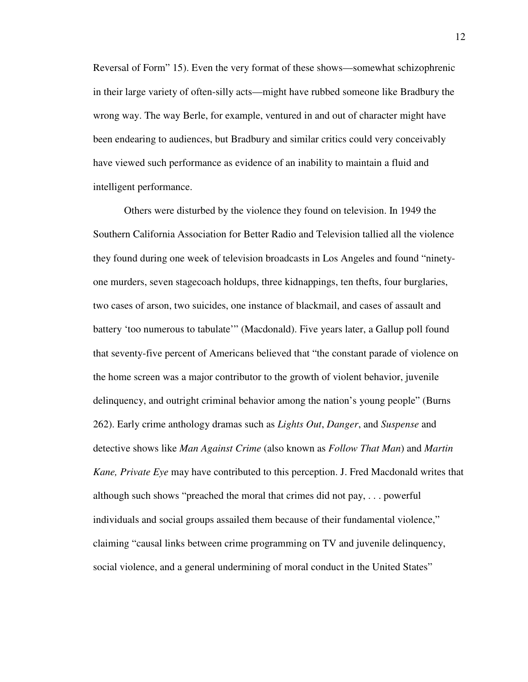Reversal of Form" 15). Even the very format of these shows—somewhat schizophrenic in their large variety of often-silly acts—might have rubbed someone like Bradbury the wrong way. The way Berle, for example, ventured in and out of character might have been endearing to audiences, but Bradbury and similar critics could very conceivably have viewed such performance as evidence of an inability to maintain a fluid and intelligent performance.

Others were disturbed by the violence they found on television. In 1949 the Southern California Association for Better Radio and Television tallied all the violence they found during one week of television broadcasts in Los Angeles and found "ninetyone murders, seven stagecoach holdups, three kidnappings, ten thefts, four burglaries, two cases of arson, two suicides, one instance of blackmail, and cases of assault and battery 'too numerous to tabulate'" (Macdonald). Five years later, a Gallup poll found that seventy-five percent of Americans believed that "the constant parade of violence on the home screen was a major contributor to the growth of violent behavior, juvenile delinquency, and outright criminal behavior among the nation's young people" (Burns 262). Early crime anthology dramas such as *Lights Out*, *Danger*, and *Suspense* and detective shows like *Man Against Crime* (also known as *Follow That Man*) and *Martin Kane, Private Eye* may have contributed to this perception. J. Fred Macdonald writes that although such shows "preached the moral that crimes did not pay, . . . powerful individuals and social groups assailed them because of their fundamental violence," claiming "causal links between crime programming on TV and juvenile delinquency, social violence, and a general undermining of moral conduct in the United States"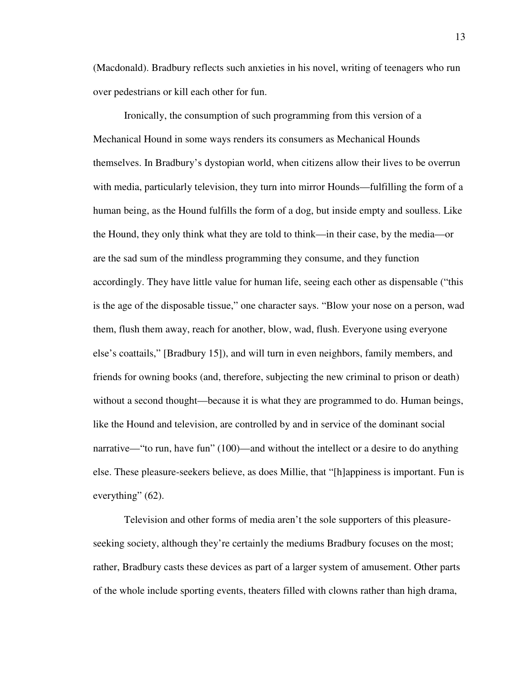(Macdonald). Bradbury reflects such anxieties in his novel, writing of teenagers who run over pedestrians or kill each other for fun.

Ironically, the consumption of such programming from this version of a Mechanical Hound in some ways renders its consumers as Mechanical Hounds themselves. In Bradbury's dystopian world, when citizens allow their lives to be overrun with media, particularly television, they turn into mirror Hounds—fulfilling the form of a human being, as the Hound fulfills the form of a dog, but inside empty and soulless. Like the Hound, they only think what they are told to think—in their case, by the media—or are the sad sum of the mindless programming they consume, and they function accordingly. They have little value for human life, seeing each other as dispensable ("this is the age of the disposable tissue," one character says. "Blow your nose on a person, wad them, flush them away, reach for another, blow, wad, flush. Everyone using everyone else's coattails," [Bradbury 15]), and will turn in even neighbors, family members, and friends for owning books (and, therefore, subjecting the new criminal to prison or death) without a second thought—because it is what they are programmed to do. Human beings, like the Hound and television, are controlled by and in service of the dominant social narrative—"to run, have fun" (100)—and without the intellect or a desire to do anything else. These pleasure-seekers believe, as does Millie, that "[h]appiness is important. Fun is everything" (62).

Television and other forms of media aren't the sole supporters of this pleasureseeking society, although they're certainly the mediums Bradbury focuses on the most; rather, Bradbury casts these devices as part of a larger system of amusement. Other parts of the whole include sporting events, theaters filled with clowns rather than high drama,

13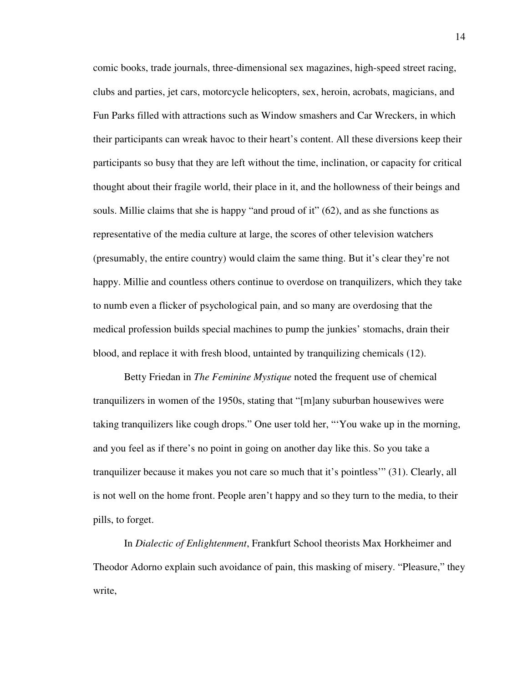comic books, trade journals, three-dimensional sex magazines, high-speed street racing, clubs and parties, jet cars, motorcycle helicopters, sex, heroin, acrobats, magicians, and Fun Parks filled with attractions such as Window smashers and Car Wreckers, in which their participants can wreak havoc to their heart's content. All these diversions keep their participants so busy that they are left without the time, inclination, or capacity for critical thought about their fragile world, their place in it, and the hollowness of their beings and souls. Millie claims that she is happy "and proud of it" (62), and as she functions as representative of the media culture at large, the scores of other television watchers (presumably, the entire country) would claim the same thing. But it's clear they're not happy. Millie and countless others continue to overdose on tranquilizers, which they take to numb even a flicker of psychological pain, and so many are overdosing that the medical profession builds special machines to pump the junkies' stomachs, drain their blood, and replace it with fresh blood, untainted by tranquilizing chemicals (12).

Betty Friedan in *The Feminine Mystique* noted the frequent use of chemical tranquilizers in women of the 1950s, stating that "[m]any suburban housewives were taking tranquilizers like cough drops." One user told her, "'You wake up in the morning, and you feel as if there's no point in going on another day like this. So you take a tranquilizer because it makes you not care so much that it's pointless'" (31). Clearly, all is not well on the home front. People aren't happy and so they turn to the media, to their pills, to forget.

In *Dialectic of Enlightenment*, Frankfurt School theorists Max Horkheimer and Theodor Adorno explain such avoidance of pain, this masking of misery. "Pleasure," they write,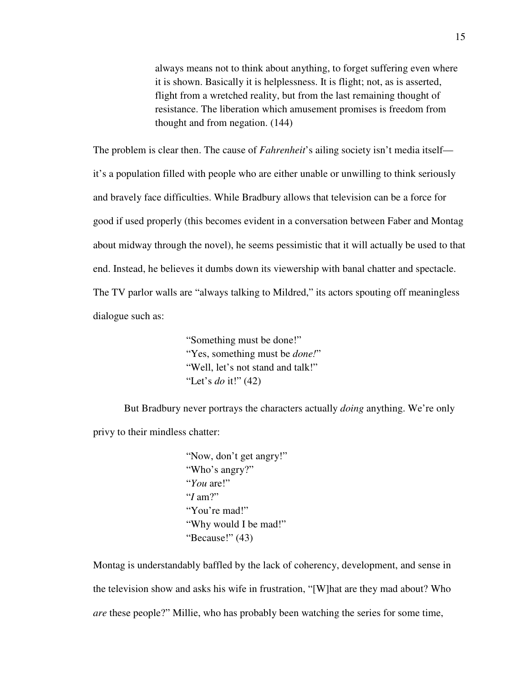always means not to think about anything, to forget suffering even where it is shown. Basically it is helplessness. It is flight; not, as is asserted, flight from a wretched reality, but from the last remaining thought of resistance. The liberation which amusement promises is freedom from thought and from negation. (144)

The problem is clear then. The cause of *Fahrenheit*'s ailing society isn't media itself it's a population filled with people who are either unable or unwilling to think seriously and bravely face difficulties. While Bradbury allows that television can be a force for good if used properly (this becomes evident in a conversation between Faber and Montag about midway through the novel), he seems pessimistic that it will actually be used to that end. Instead, he believes it dumbs down its viewership with banal chatter and spectacle. The TV parlor walls are "always talking to Mildred," its actors spouting off meaningless dialogue such as:

> "Something must be done!" "Yes, something must be *done!*" "Well, let's not stand and talk!" "Let's *do* it!" (42)

But Bradbury never portrays the characters actually *doing* anything. We're only privy to their mindless chatter:

> "Now, don't get angry!" "Who's angry?" "*You* are!" "*I* am?" "You're mad!" "Why would I be mad!" "Because!" (43)

Montag is understandably baffled by the lack of coherency, development, and sense in the television show and asks his wife in frustration, "[W]hat are they mad about? Who *are* these people?" Millie, who has probably been watching the series for some time,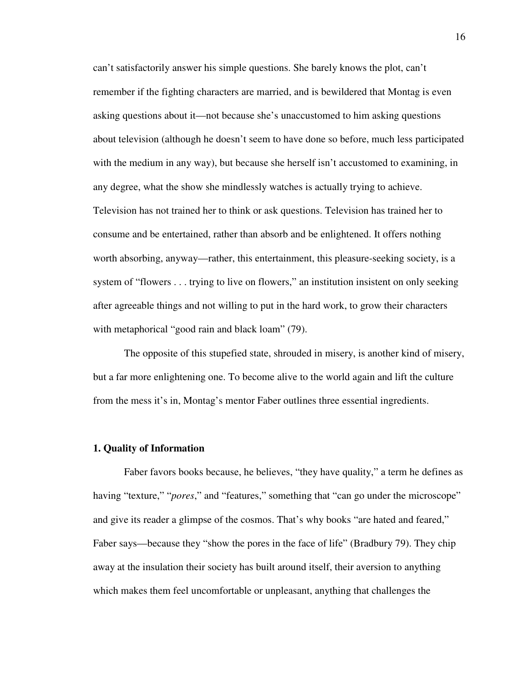can't satisfactorily answer his simple questions. She barely knows the plot, can't remember if the fighting characters are married, and is bewildered that Montag is even asking questions about it—not because she's unaccustomed to him asking questions about television (although he doesn't seem to have done so before, much less participated with the medium in any way), but because she herself isn't accustomed to examining, in any degree, what the show she mindlessly watches is actually trying to achieve. Television has not trained her to think or ask questions. Television has trained her to consume and be entertained, rather than absorb and be enlightened. It offers nothing worth absorbing, anyway—rather, this entertainment, this pleasure-seeking society, is a system of "flowers . . . trying to live on flowers," an institution insistent on only seeking after agreeable things and not willing to put in the hard work, to grow their characters with metaphorical "good rain and black loam" (79).

The opposite of this stupefied state, shrouded in misery, is another kind of misery, but a far more enlightening one. To become alive to the world again and lift the culture from the mess it's in, Montag's mentor Faber outlines three essential ingredients.

#### **1. Quality of Information**

Faber favors books because, he believes, "they have quality," a term he defines as having "texture," "*pores*," and "features," something that "can go under the microscope" and give its reader a glimpse of the cosmos. That's why books "are hated and feared," Faber says—because they "show the pores in the face of life" (Bradbury 79). They chip away at the insulation their society has built around itself, their aversion to anything which makes them feel uncomfortable or unpleasant, anything that challenges the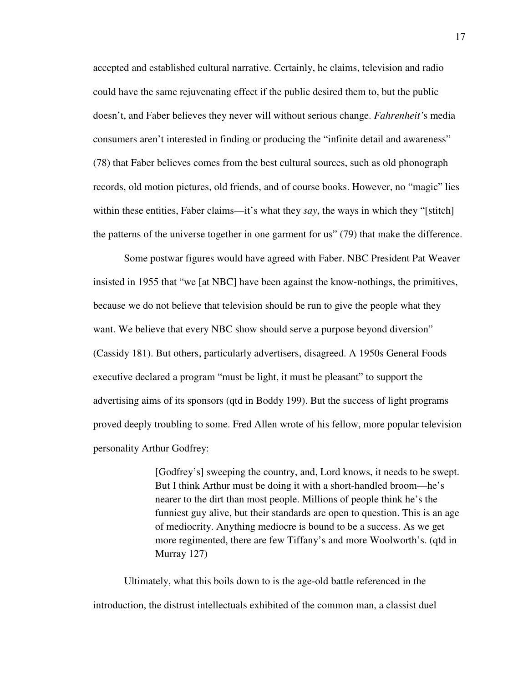accepted and established cultural narrative. Certainly, he claims, television and radio could have the same rejuvenating effect if the public desired them to, but the public doesn't, and Faber believes they never will without serious change. *Fahrenheit'*s media consumers aren't interested in finding or producing the "infinite detail and awareness" (78) that Faber believes comes from the best cultural sources, such as old phonograph records, old motion pictures, old friends, and of course books. However, no "magic" lies within these entities, Faber claims—it's what they *say*, the ways in which they "[stitch] the patterns of the universe together in one garment for us" (79) that make the difference.

Some postwar figures would have agreed with Faber. NBC President Pat Weaver insisted in 1955 that "we [at NBC] have been against the know-nothings, the primitives, because we do not believe that television should be run to give the people what they want. We believe that every NBC show should serve a purpose beyond diversion" (Cassidy 181). But others, particularly advertisers, disagreed. A 1950s General Foods executive declared a program "must be light, it must be pleasant" to support the advertising aims of its sponsors (qtd in Boddy 199). But the success of light programs proved deeply troubling to some. Fred Allen wrote of his fellow, more popular television personality Arthur Godfrey:

> [Godfrey's] sweeping the country, and, Lord knows, it needs to be swept. But I think Arthur must be doing it with a short-handled broom—he's nearer to the dirt than most people. Millions of people think he's the funniest guy alive, but their standards are open to question. This is an age of mediocrity. Anything mediocre is bound to be a success. As we get more regimented, there are few Tiffany's and more Woolworth's. (qtd in Murray 127)

Ultimately, what this boils down to is the age-old battle referenced in the introduction, the distrust intellectuals exhibited of the common man, a classist duel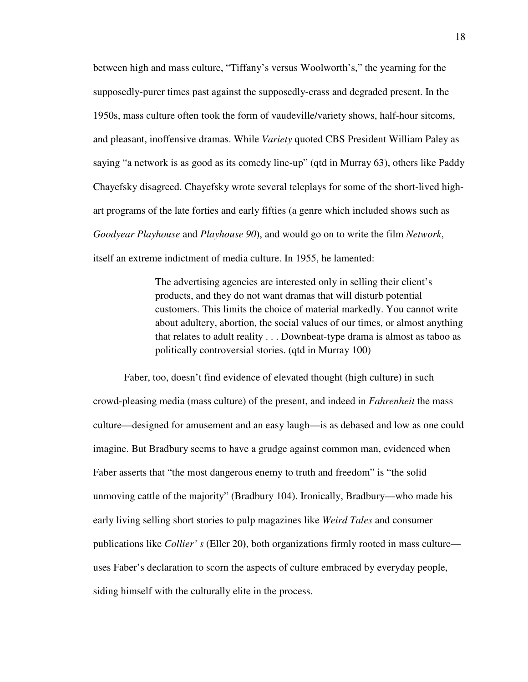between high and mass culture, "Tiffany's versus Woolworth's," the yearning for the supposedly-purer times past against the supposedly-crass and degraded present. In the 1950s, mass culture often took the form of vaudeville/variety shows, half-hour sitcoms, and pleasant, inoffensive dramas. While *Variety* quoted CBS President William Paley as saying "a network is as good as its comedy line-up" (qtd in Murray 63), others like Paddy Chayefsky disagreed. Chayefsky wrote several teleplays for some of the short-lived highart programs of the late forties and early fifties (a genre which included shows such as *Goodyear Playhouse* and *Playhouse 90*), and would go on to write the film *Network*, itself an extreme indictment of media culture. In 1955, he lamented:

> The advertising agencies are interested only in selling their client's products, and they do not want dramas that will disturb potential customers. This limits the choice of material markedly. You cannot write about adultery, abortion, the social values of our times, or almost anything that relates to adult reality . . . Downbeat-type drama is almost as taboo as politically controversial stories. (qtd in Murray 100)

Faber, too, doesn't find evidence of elevated thought (high culture) in such crowd-pleasing media (mass culture) of the present, and indeed in *Fahrenheit* the mass culture—designed for amusement and an easy laugh—is as debased and low as one could imagine. But Bradbury seems to have a grudge against common man, evidenced when Faber asserts that "the most dangerous enemy to truth and freedom" is "the solid unmoving cattle of the majority" (Bradbury 104). Ironically, Bradbury—who made his early living selling short stories to pulp magazines like *Weird Tales* and consumer publications like *Collier' s* (Eller 20**)**, both organizations firmly rooted in mass culture uses Faber's declaration to scorn the aspects of culture embraced by everyday people, siding himself with the culturally elite in the process.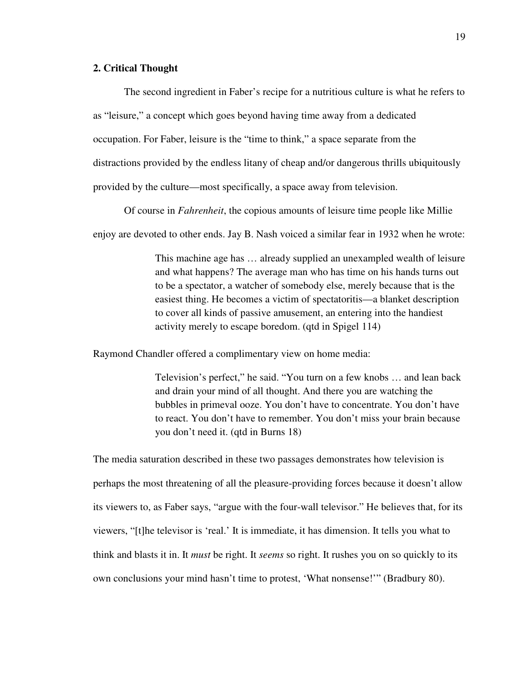#### **2. Critical Thought**

The second ingredient in Faber's recipe for a nutritious culture is what he refers to as "leisure," a concept which goes beyond having time away from a dedicated occupation. For Faber, leisure is the "time to think," a space separate from the distractions provided by the endless litany of cheap and/or dangerous thrills ubiquitously provided by the culture—most specifically, a space away from television.

Of course in *Fahrenheit*, the copious amounts of leisure time people like Millie

enjoy are devoted to other ends. Jay B. Nash voiced a similar fear in 1932 when he wrote:

This machine age has … already supplied an unexampled wealth of leisure and what happens? The average man who has time on his hands turns out to be a spectator, a watcher of somebody else, merely because that is the easiest thing. He becomes a victim of spectatoritis—a blanket description to cover all kinds of passive amusement, an entering into the handiest activity merely to escape boredom. (qtd in Spigel 114)

Raymond Chandler offered a complimentary view on home media:

Television's perfect," he said. "You turn on a few knobs … and lean back and drain your mind of all thought. And there you are watching the bubbles in primeval ooze. You don't have to concentrate. You don't have to react. You don't have to remember. You don't miss your brain because you don't need it. (qtd in Burns 18)

The media saturation described in these two passages demonstrates how television is perhaps the most threatening of all the pleasure-providing forces because it doesn't allow its viewers to, as Faber says, "argue with the four-wall televisor." He believes that, for its viewers, "[t]he televisor is 'real.' It is immediate, it has dimension. It tells you what to think and blasts it in. It *must* be right. It *seems* so right. It rushes you on so quickly to its own conclusions your mind hasn't time to protest, 'What nonsense!'" (Bradbury 80).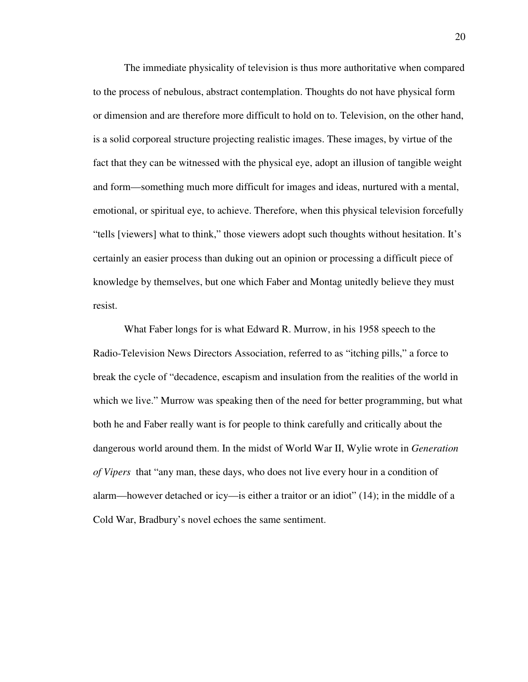The immediate physicality of television is thus more authoritative when compared to the process of nebulous, abstract contemplation. Thoughts do not have physical form or dimension and are therefore more difficult to hold on to. Television, on the other hand, is a solid corporeal structure projecting realistic images. These images, by virtue of the fact that they can be witnessed with the physical eye, adopt an illusion of tangible weight and form—something much more difficult for images and ideas, nurtured with a mental, emotional, or spiritual eye, to achieve. Therefore, when this physical television forcefully "tells [viewers] what to think," those viewers adopt such thoughts without hesitation. It's certainly an easier process than duking out an opinion or processing a difficult piece of knowledge by themselves, but one which Faber and Montag unitedly believe they must resist.

What Faber longs for is what Edward R. Murrow, in his 1958 speech to the Radio-Television News Directors Association, referred to as "itching pills," a force to break the cycle of "decadence, escapism and insulation from the realities of the world in which we live." Murrow was speaking then of the need for better programming, but what both he and Faber really want is for people to think carefully and critically about the dangerous world around them. In the midst of World War II, Wylie wrote in *Generation of Vipers* that "any man, these days, who does not live every hour in a condition of alarm—however detached or icy—is either a traitor or an idiot" (14); in the middle of a Cold War, Bradbury's novel echoes the same sentiment.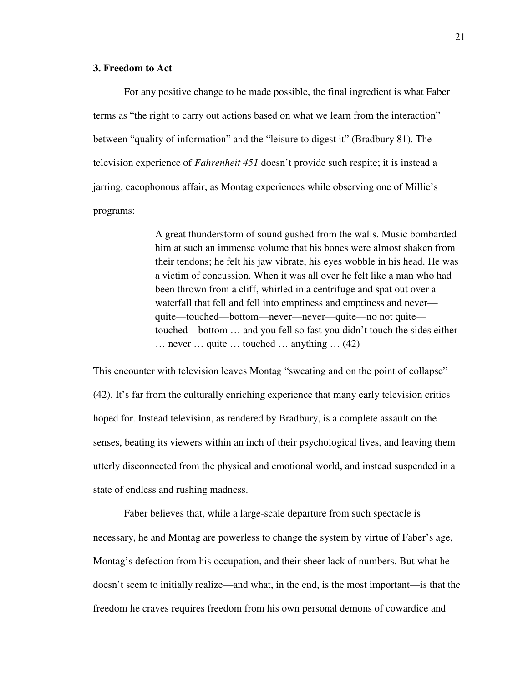#### **3. Freedom to Act**

For any positive change to be made possible, the final ingredient is what Faber terms as "the right to carry out actions based on what we learn from the interaction" between "quality of information" and the "leisure to digest it" (Bradbury 81). The television experience of *Fahrenheit 451* doesn't provide such respite; it is instead a jarring, cacophonous affair, as Montag experiences while observing one of Millie's programs:

> A great thunderstorm of sound gushed from the walls. Music bombarded him at such an immense volume that his bones were almost shaken from their tendons; he felt his jaw vibrate, his eyes wobble in his head. He was a victim of concussion. When it was all over he felt like a man who had been thrown from a cliff, whirled in a centrifuge and spat out over a waterfall that fell and fell into emptiness and emptiness and never quite—touched—bottom—never—never—quite—no not quite touched—bottom … and you fell so fast you didn't touch the sides either … never … quite … touched … anything … (42)

This encounter with television leaves Montag "sweating and on the point of collapse" (42). It's far from the culturally enriching experience that many early television critics hoped for. Instead television, as rendered by Bradbury, is a complete assault on the senses, beating its viewers within an inch of their psychological lives, and leaving them utterly disconnected from the physical and emotional world, and instead suspended in a state of endless and rushing madness.

Faber believes that, while a large-scale departure from such spectacle is necessary, he and Montag are powerless to change the system by virtue of Faber's age, Montag's defection from his occupation, and their sheer lack of numbers. But what he doesn't seem to initially realize—and what, in the end, is the most important—is that the freedom he craves requires freedom from his own personal demons of cowardice and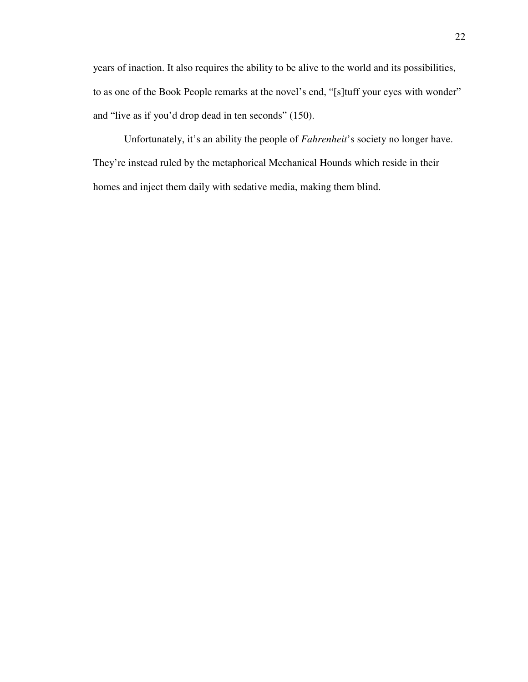years of inaction. It also requires the ability to be alive to the world and its possibilities, to as one of the Book People remarks at the novel's end, "[s]tuff your eyes with wonder" and "live as if you'd drop dead in ten seconds" (150).

Unfortunately, it's an ability the people of *Fahrenheit*'s society no longer have. They're instead ruled by the metaphorical Mechanical Hounds which reside in their homes and inject them daily with sedative media, making them blind.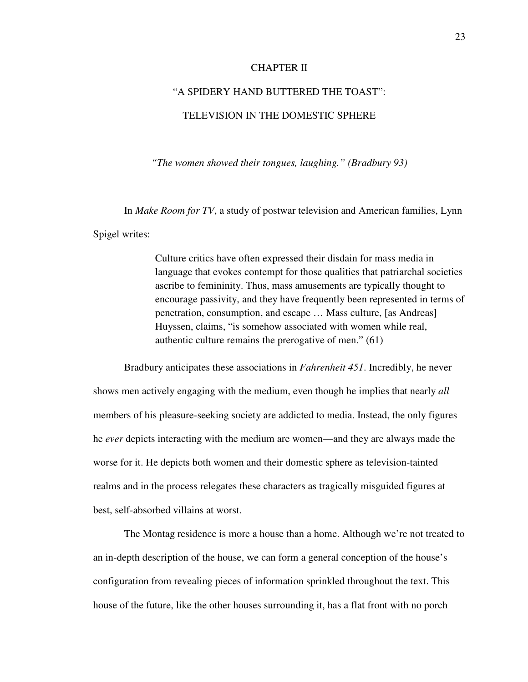#### CHAPTER II

# "A SPIDERY HAND BUTTERED THE TOAST": TELEVISION IN THE DOMESTIC SPHERE

*"The women showed their tongues, laughing." (Bradbury 93)* 

 In *Make Room for TV*, a study of postwar television and American families, Lynn Spigel writes:

> Culture critics have often expressed their disdain for mass media in language that evokes contempt for those qualities that patriarchal societies ascribe to femininity. Thus, mass amusements are typically thought to encourage passivity, and they have frequently been represented in terms of penetration, consumption, and escape … Mass culture, [as Andreas] Huyssen, claims, "is somehow associated with women while real, authentic culture remains the prerogative of men." (61)

Bradbury anticipates these associations in *Fahrenheit 451*. Incredibly, he never shows men actively engaging with the medium, even though he implies that nearly *all* members of his pleasure-seeking society are addicted to media. Instead, the only figures he *ever* depicts interacting with the medium are women—and they are always made the worse for it. He depicts both women and their domestic sphere as television-tainted realms and in the process relegates these characters as tragically misguided figures at best, self-absorbed villains at worst.

The Montag residence is more a house than a home. Although we're not treated to an in-depth description of the house, we can form a general conception of the house's configuration from revealing pieces of information sprinkled throughout the text. This house of the future, like the other houses surrounding it, has a flat front with no porch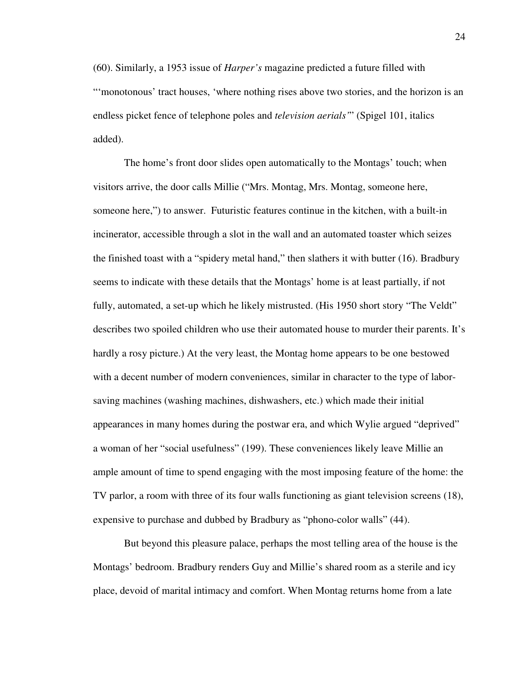(60). Similarly, a 1953 issue of *Harper's* magazine predicted a future filled with "'monotonous' tract houses, 'where nothing rises above two stories, and the horizon is an endless picket fence of telephone poles and *television aerials'*" (Spigel 101, italics added).

The home's front door slides open automatically to the Montags' touch; when visitors arrive, the door calls Millie ("Mrs. Montag, Mrs. Montag, someone here, someone here,") to answer. Futuristic features continue in the kitchen, with a built-in incinerator, accessible through a slot in the wall and an automated toaster which seizes the finished toast with a "spidery metal hand," then slathers it with butter (16). Bradbury seems to indicate with these details that the Montags' home is at least partially, if not fully, automated, a set-up which he likely mistrusted. (His 1950 short story "The Veldt" describes two spoiled children who use their automated house to murder their parents. It's hardly a rosy picture.) At the very least, the Montag home appears to be one bestowed with a decent number of modern conveniences, similar in character to the type of laborsaving machines (washing machines, dishwashers, etc.) which made their initial appearances in many homes during the postwar era, and which Wylie argued "deprived" a woman of her "social usefulness" (199). These conveniences likely leave Millie an ample amount of time to spend engaging with the most imposing feature of the home: the TV parlor, a room with three of its four walls functioning as giant television screens (18), expensive to purchase and dubbed by Bradbury as "phono-color walls" (44).

But beyond this pleasure palace, perhaps the most telling area of the house is the Montags' bedroom. Bradbury renders Guy and Millie's shared room as a sterile and icy place, devoid of marital intimacy and comfort. When Montag returns home from a late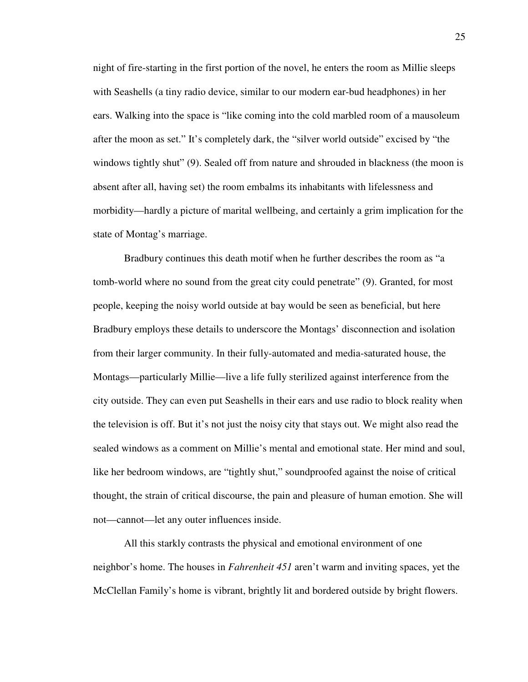night of fire-starting in the first portion of the novel, he enters the room as Millie sleeps with Seashells (a tiny radio device, similar to our modern ear-bud headphones) in her ears. Walking into the space is "like coming into the cold marbled room of a mausoleum after the moon as set." It's completely dark, the "silver world outside" excised by "the windows tightly shut" (9). Sealed off from nature and shrouded in blackness (the moon is absent after all, having set) the room embalms its inhabitants with lifelessness and morbidity—hardly a picture of marital wellbeing, and certainly a grim implication for the state of Montag's marriage.

Bradbury continues this death motif when he further describes the room as "a tomb-world where no sound from the great city could penetrate" (9). Granted, for most people, keeping the noisy world outside at bay would be seen as beneficial, but here Bradbury employs these details to underscore the Montags' disconnection and isolation from their larger community. In their fully-automated and media-saturated house, the Montags—particularly Millie—live a life fully sterilized against interference from the city outside. They can even put Seashells in their ears and use radio to block reality when the television is off. But it's not just the noisy city that stays out. We might also read the sealed windows as a comment on Millie's mental and emotional state. Her mind and soul, like her bedroom windows, are "tightly shut," soundproofed against the noise of critical thought, the strain of critical discourse, the pain and pleasure of human emotion. She will not—cannot—let any outer influences inside.

All this starkly contrasts the physical and emotional environment of one neighbor's home. The houses in *Fahrenheit 451* aren't warm and inviting spaces, yet the McClellan Family's home is vibrant, brightly lit and bordered outside by bright flowers.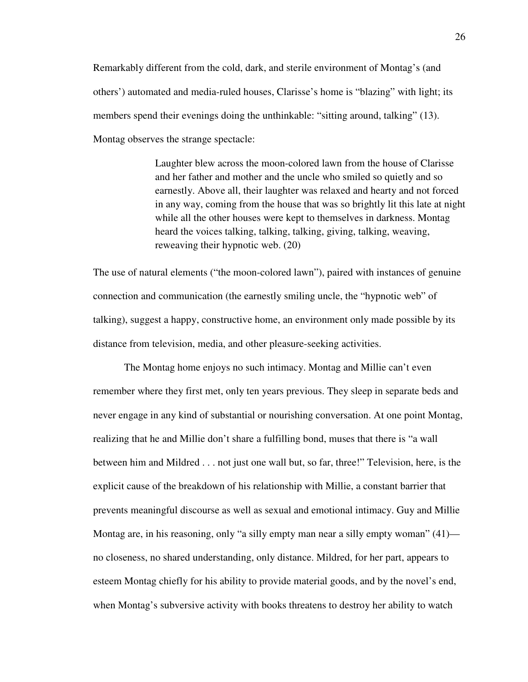Remarkably different from the cold, dark, and sterile environment of Montag's (and others') automated and media-ruled houses, Clarisse's home is "blazing" with light; its members spend their evenings doing the unthinkable: "sitting around, talking" (13). Montag observes the strange spectacle:

> Laughter blew across the moon-colored lawn from the house of Clarisse and her father and mother and the uncle who smiled so quietly and so earnestly. Above all, their laughter was relaxed and hearty and not forced in any way, coming from the house that was so brightly lit this late at night while all the other houses were kept to themselves in darkness. Montag heard the voices talking, talking, talking, giving, talking, weaving, reweaving their hypnotic web. (20)

The use of natural elements ("the moon-colored lawn"), paired with instances of genuine connection and communication (the earnestly smiling uncle, the "hypnotic web" of talking), suggest a happy, constructive home, an environment only made possible by its distance from television, media, and other pleasure-seeking activities.

The Montag home enjoys no such intimacy. Montag and Millie can't even remember where they first met, only ten years previous. They sleep in separate beds and never engage in any kind of substantial or nourishing conversation. At one point Montag, realizing that he and Millie don't share a fulfilling bond, muses that there is "a wall between him and Mildred . . . not just one wall but, so far, three!" Television, here, is the explicit cause of the breakdown of his relationship with Millie, a constant barrier that prevents meaningful discourse as well as sexual and emotional intimacy. Guy and Millie Montag are, in his reasoning, only "a silly empty man near a silly empty woman" (41) no closeness, no shared understanding, only distance. Mildred, for her part, appears to esteem Montag chiefly for his ability to provide material goods, and by the novel's end, when Montag's subversive activity with books threatens to destroy her ability to watch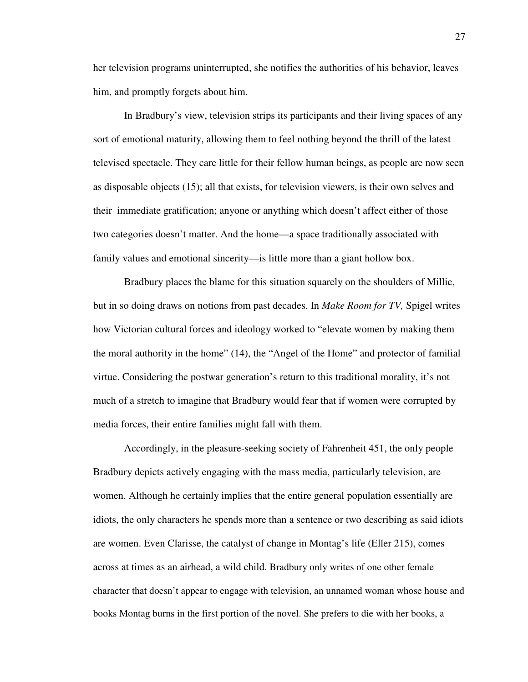her television programs uninterrupted, she notifies the authorities of his behavior, leaves him, and promptly forgets about him.

In Bradbury's view, television strips its participants and their living spaces of any sort of emotional maturity, allowing them to feel nothing beyond the thrill of the latest televised spectacle. They care little for their fellow human beings, as people are now seen as disposable objects (15); all that exists, for television viewers, is their own selves and their immediate gratification; anyone or anything which doesn't affect either of those two categories doesn't matter. And the home—a space traditionally associated with family values and emotional sincerity—is little more than a giant hollow box.

Bradbury places the blame for this situation squarely on the shoulders of Millie, but in so doing draws on notions from past decades. In *Make Room for TV,* Spigel writes how Victorian cultural forces and ideology worked to "elevate women by making them the moral authority in the home" (14), the "Angel of the Home" and protector of familial virtue. Considering the postwar generation's return to this traditional morality, it's not much of a stretch to imagine that Bradbury would fear that if women were corrupted by media forces, their entire families might fall with them.

Accordingly, in the pleasure-seeking society of Fahrenheit 451, the only people Bradbury depicts actively engaging with the mass media, particularly television, are women. Although he certainly implies that the entire general population essentially are idiots, the only characters he spends more than a sentence or two describing as said idiots are women. Even Clarisse, the catalyst of change in Montag's life (Eller 215), comes across at times as an airhead, a wild child. Bradbury only writes of one other female character that doesn't appear to engage with television, an unnamed woman whose house and books Montag burns in the first portion of the novel. She prefers to die with her books, a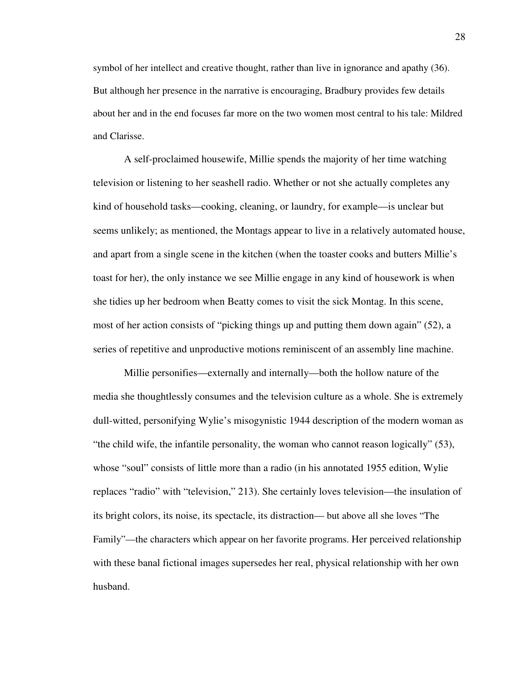symbol of her intellect and creative thought, rather than live in ignorance and apathy (36). But although her presence in the narrative is encouraging, Bradbury provides few details about her and in the end focuses far more on the two women most central to his tale: Mildred and Clarisse.

A self-proclaimed housewife, Millie spends the majority of her time watching television or listening to her seashell radio. Whether or not she actually completes any kind of household tasks—cooking, cleaning, or laundry, for example—is unclear but seems unlikely; as mentioned, the Montags appear to live in a relatively automated house, and apart from a single scene in the kitchen (when the toaster cooks and butters Millie's toast for her), the only instance we see Millie engage in any kind of housework is when she tidies up her bedroom when Beatty comes to visit the sick Montag. In this scene, most of her action consists of "picking things up and putting them down again" (52), a series of repetitive and unproductive motions reminiscent of an assembly line machine.

Millie personifies—externally and internally—both the hollow nature of the media she thoughtlessly consumes and the television culture as a whole. She is extremely dull-witted, personifying Wylie's misogynistic 1944 description of the modern woman as "the child wife, the infantile personality, the woman who cannot reason logically" (53), whose "soul" consists of little more than a radio (in his annotated 1955 edition, Wylie replaces "radio" with "television," 213). She certainly loves television—the insulation of its bright colors, its noise, its spectacle, its distraction— but above all she loves "The Family"—the characters which appear on her favorite programs. Her perceived relationship with these banal fictional images supersedes her real, physical relationship with her own husband.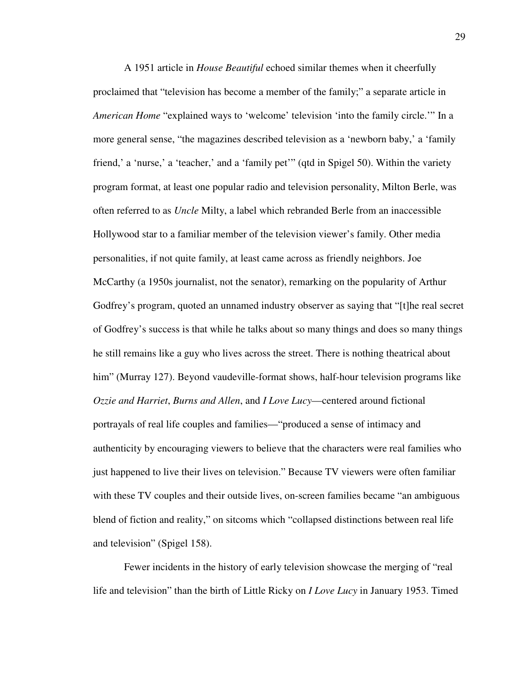A 1951 article in *House Beautiful* echoed similar themes when it cheerfully proclaimed that "television has become a member of the family;" a separate article in *American Home* "explained ways to 'welcome' television 'into the family circle.'" In a more general sense, "the magazines described television as a 'newborn baby,' a 'family friend,' a 'nurse,' a 'teacher,' and a 'family pet'" (qtd in Spigel 50). Within the variety program format, at least one popular radio and television personality, Milton Berle, was often referred to as *Uncle* Milty, a label which rebranded Berle from an inaccessible Hollywood star to a familiar member of the television viewer's family. Other media personalities, if not quite family, at least came across as friendly neighbors. Joe McCarthy (a 1950s journalist, not the senator), remarking on the popularity of Arthur Godfrey's program, quoted an unnamed industry observer as saying that "[t]he real secret of Godfrey's success is that while he talks about so many things and does so many things he still remains like a guy who lives across the street. There is nothing theatrical about him" (Murray 127). Beyond vaudeville-format shows, half-hour television programs like *Ozzie and Harriet*, *Burns and Allen*, and *I Love Lucy*—centered around fictional portrayals of real life couples and families—"produced a sense of intimacy and authenticity by encouraging viewers to believe that the characters were real families who just happened to live their lives on television." Because TV viewers were often familiar with these TV couples and their outside lives, on-screen families became "an ambiguous blend of fiction and reality," on sitcoms which "collapsed distinctions between real life and television" (Spigel 158).

Fewer incidents in the history of early television showcase the merging of "real life and television" than the birth of Little Ricky on *I Love Lucy* in January 1953. Timed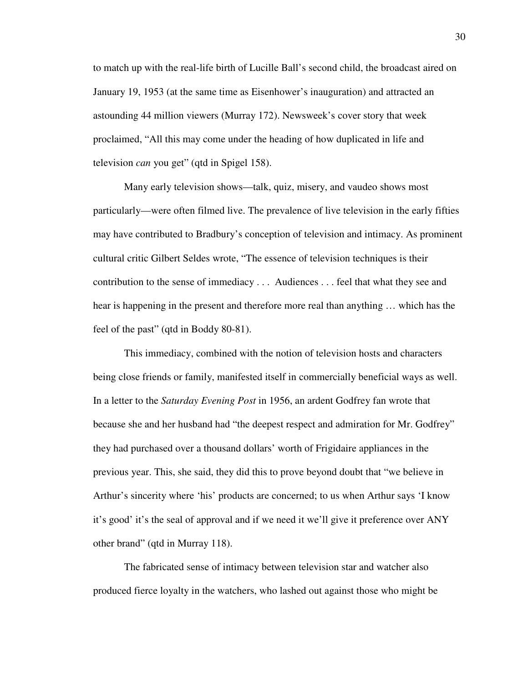to match up with the real-life birth of Lucille Ball's second child, the broadcast aired on January 19, 1953 (at the same time as Eisenhower's inauguration) and attracted an astounding 44 million viewers (Murray 172). Newsweek's cover story that week proclaimed, "All this may come under the heading of how duplicated in life and television *can* you get" (qtd in Spigel 158).

Many early television shows—talk, quiz, misery, and vaudeo shows most particularly—were often filmed live. The prevalence of live television in the early fifties may have contributed to Bradbury's conception of television and intimacy. As prominent cultural critic Gilbert Seldes wrote, "The essence of television techniques is their contribution to the sense of immediacy . . . Audiences . . . feel that what they see and hear is happening in the present and therefore more real than anything … which has the feel of the past" (qtd in Boddy 80-81).

This immediacy, combined with the notion of television hosts and characters being close friends or family, manifested itself in commercially beneficial ways as well. In a letter to the *Saturday Evening Post* in 1956, an ardent Godfrey fan wrote that because she and her husband had "the deepest respect and admiration for Mr. Godfrey" they had purchased over a thousand dollars' worth of Frigidaire appliances in the previous year. This, she said, they did this to prove beyond doubt that "we believe in Arthur's sincerity where 'his' products are concerned; to us when Arthur says 'I know it's good' it's the seal of approval and if we need it we'll give it preference over ANY other brand" (qtd in Murray 118).

The fabricated sense of intimacy between television star and watcher also produced fierce loyalty in the watchers, who lashed out against those who might be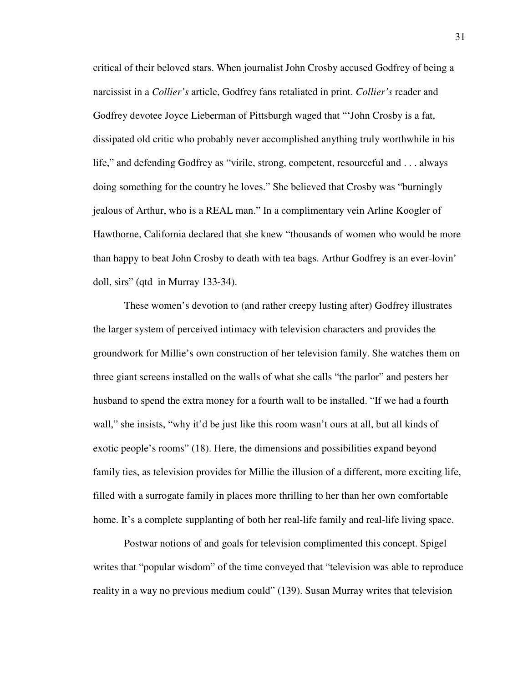critical of their beloved stars. When journalist John Crosby accused Godfrey of being a narcissist in a *Collier's* article, Godfrey fans retaliated in print. *Collier's* reader and Godfrey devotee Joyce Lieberman of Pittsburgh waged that "'John Crosby is a fat, dissipated old critic who probably never accomplished anything truly worthwhile in his life," and defending Godfrey as "virile, strong, competent, resourceful and . . . always doing something for the country he loves." She believed that Crosby was "burningly jealous of Arthur, who is a REAL man." In a complimentary vein Arline Koogler of Hawthorne, California declared that she knew "thousands of women who would be more than happy to beat John Crosby to death with tea bags. Arthur Godfrey is an ever-lovin' doll, sirs" (qtd in Murray 133-34).

These women's devotion to (and rather creepy lusting after) Godfrey illustrates the larger system of perceived intimacy with television characters and provides the groundwork for Millie's own construction of her television family. She watches them on three giant screens installed on the walls of what she calls "the parlor" and pesters her husband to spend the extra money for a fourth wall to be installed. "If we had a fourth wall," she insists, "why it'd be just like this room wasn't ours at all, but all kinds of exotic people's rooms" (18). Here, the dimensions and possibilities expand beyond family ties, as television provides for Millie the illusion of a different, more exciting life, filled with a surrogate family in places more thrilling to her than her own comfortable home. It's a complete supplanting of both her real-life family and real-life living space.

Postwar notions of and goals for television complimented this concept. Spigel writes that "popular wisdom" of the time conveyed that "television was able to reproduce reality in a way no previous medium could" (139). Susan Murray writes that television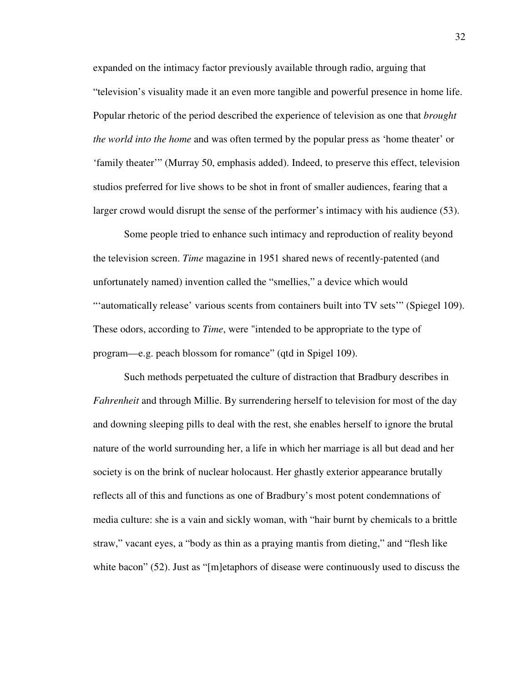expanded on the intimacy factor previously available through radio, arguing that "television's visuality made it an even more tangible and powerful presence in home life. Popular rhetoric of the period described the experience of television as one that *brought the world into the home* and was often termed by the popular press as 'home theater' or 'family theater'" (Murray 50, emphasis added). Indeed, to preserve this effect, television studios preferred for live shows to be shot in front of smaller audiences, fearing that a larger crowd would disrupt the sense of the performer's intimacy with his audience (53).

Some people tried to enhance such intimacy and reproduction of reality beyond the television screen. *Time* magazine in 1951 shared news of recently-patented (and unfortunately named) invention called the "smellies," a device which would "'automatically release' various scents from containers built into TV sets'" (Spiegel 109). These odors, according to *Time*, were "intended to be appropriate to the type of program—e.g. peach blossom for romance" (qtd in Spigel 109).

Such methods perpetuated the culture of distraction that Bradbury describes in *Fahrenheit* and through Millie. By surrendering herself to television for most of the day and downing sleeping pills to deal with the rest, she enables herself to ignore the brutal nature of the world surrounding her, a life in which her marriage is all but dead and her society is on the brink of nuclear holocaust. Her ghastly exterior appearance brutally reflects all of this and functions as one of Bradbury's most potent condemnations of media culture: she is a vain and sickly woman, with "hair burnt by chemicals to a brittle straw," vacant eyes, a "body as thin as a praying mantis from dieting," and "flesh like white bacon" (52). Just as "[m]etaphors of disease were continuously used to discuss the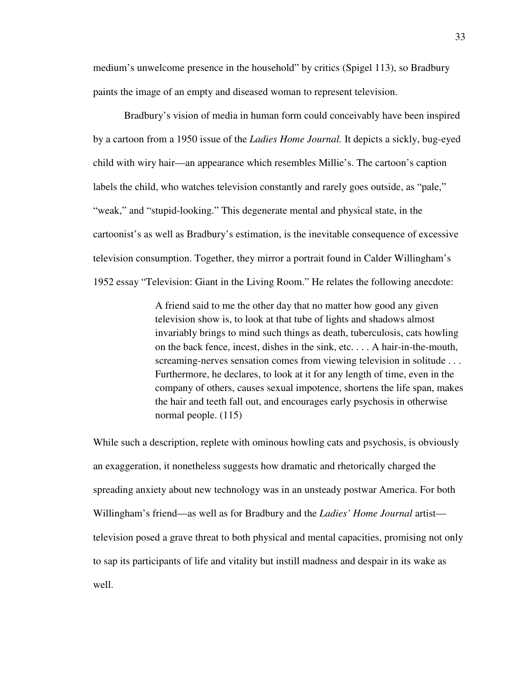medium's unwelcome presence in the household" by critics (Spigel 113), so Bradbury paints the image of an empty and diseased woman to represent television.

Bradbury's vision of media in human form could conceivably have been inspired by a cartoon from a 1950 issue of the *Ladies Home Journal.* It depicts a sickly, bug-eyed child with wiry hair—an appearance which resembles Millie's. The cartoon's caption labels the child, who watches television constantly and rarely goes outside, as "pale," "weak," and "stupid-looking." This degenerate mental and physical state, in the cartoonist's as well as Bradbury's estimation, is the inevitable consequence of excessive television consumption. Together, they mirror a portrait found in Calder Willingham's 1952 essay "Television: Giant in the Living Room." He relates the following anecdote:

> A friend said to me the other day that no matter how good any given television show is, to look at that tube of lights and shadows almost invariably brings to mind such things as death, tuberculosis, cats howling on the back fence, incest, dishes in the sink, etc. . . . A hair-in-the-mouth, screaming-nerves sensation comes from viewing television in solitude . . . Furthermore, he declares, to look at it for any length of time, even in the company of others, causes sexual impotence, shortens the life span, makes the hair and teeth fall out, and encourages early psychosis in otherwise normal people. (115)

While such a description, replete with ominous howling cats and psychosis, is obviously an exaggeration, it nonetheless suggests how dramatic and rhetorically charged the spreading anxiety about new technology was in an unsteady postwar America. For both Willingham's friend—as well as for Bradbury and the *Ladies' Home Journal* artist television posed a grave threat to both physical and mental capacities, promising not only to sap its participants of life and vitality but instill madness and despair in its wake as well.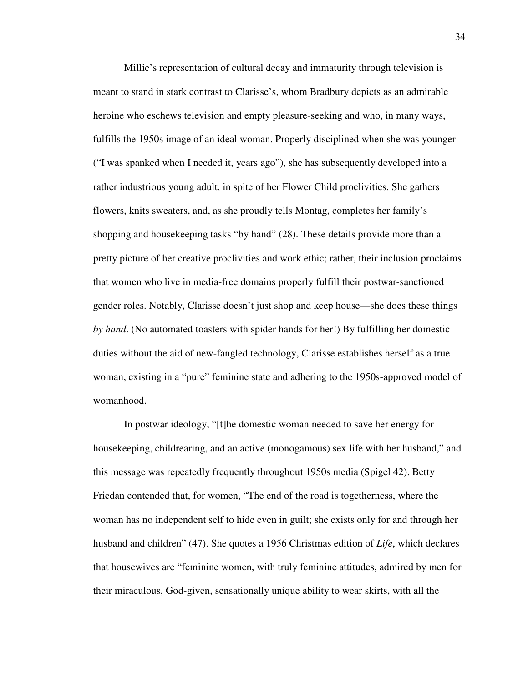Millie's representation of cultural decay and immaturity through television is meant to stand in stark contrast to Clarisse's, whom Bradbury depicts as an admirable heroine who eschews television and empty pleasure-seeking and who, in many ways, fulfills the 1950s image of an ideal woman. Properly disciplined when she was younger ("I was spanked when I needed it, years ago"), she has subsequently developed into a rather industrious young adult, in spite of her Flower Child proclivities. She gathers flowers, knits sweaters, and, as she proudly tells Montag, completes her family's shopping and housekeeping tasks "by hand" (28). These details provide more than a pretty picture of her creative proclivities and work ethic; rather, their inclusion proclaims that women who live in media-free domains properly fulfill their postwar-sanctioned gender roles. Notably, Clarisse doesn't just shop and keep house—she does these things *by hand*. (No automated toasters with spider hands for her!) By fulfilling her domestic duties without the aid of new-fangled technology, Clarisse establishes herself as a true woman, existing in a "pure" feminine state and adhering to the 1950s-approved model of womanhood.

In postwar ideology, "[t]he domestic woman needed to save her energy for housekeeping, childrearing, and an active (monogamous) sex life with her husband," and this message was repeatedly frequently throughout 1950s media (Spigel 42). Betty Friedan contended that, for women, "The end of the road is togetherness, where the woman has no independent self to hide even in guilt; she exists only for and through her husband and children" (47). She quotes a 1956 Christmas edition of *Life*, which declares that housewives are "feminine women, with truly feminine attitudes, admired by men for their miraculous, God-given, sensationally unique ability to wear skirts, with all the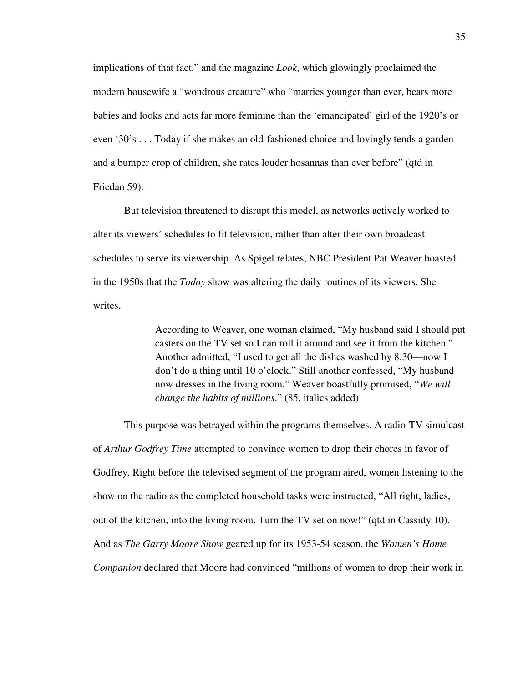implications of that fact," and the magazine *Look*, which glowingly proclaimed the modern housewife a "wondrous creature" who "marries younger than ever, bears more babies and looks and acts far more feminine than the 'emancipated' girl of the 1920's or even '30's . . . Today if she makes an old-fashioned choice and lovingly tends a garden and a bumper crop of children, she rates louder hosannas than ever before" (qtd in Friedan 59).

But television threatened to disrupt this model, as networks actively worked to alter its viewers' schedules to fit television, rather than alter their own broadcast schedules to serve its viewership. As Spigel relates, NBC President Pat Weaver boasted in the 1950s that the *Today* show was altering the daily routines of its viewers. She writes,

> According to Weaver, one woman claimed, "My husband said I should put casters on the TV set so I can roll it around and see it from the kitchen." Another admitted, "I used to get all the dishes washed by 8:30—now I don't do a thing until 10 o'clock." Still another confessed, "My husband now dresses in the living room." Weaver boastfully promised, "*We will change the habits of millions*." (85, italics added)

This purpose was betrayed within the programs themselves. A radio-TV simulcast of *Arthur Godfrey Time* attempted to convince women to drop their chores in favor of Godfrey. Right before the televised segment of the program aired, women listening to the show on the radio as the completed household tasks were instructed, "All right, ladies, out of the kitchen, into the living room. Turn the TV set on now!" (qtd in Cassidy 10). And as *The Garry Moore Show* geared up for its 1953-54 season, the *Women's Home Companion* declared that Moore had convinced "millions of women to drop their work in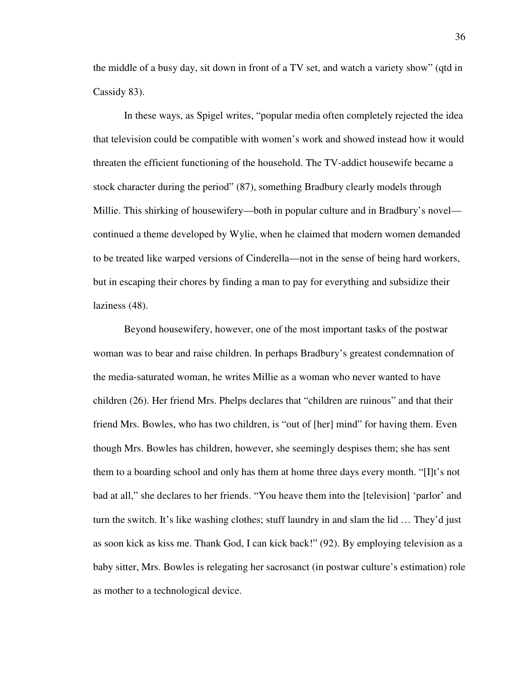the middle of a busy day, sit down in front of a TV set, and watch a variety show" (qtd in Cassidy 83).

In these ways, as Spigel writes, "popular media often completely rejected the idea that television could be compatible with women's work and showed instead how it would threaten the efficient functioning of the household. The TV-addict housewife became a stock character during the period" (87), something Bradbury clearly models through Millie. This shirking of housewifery—both in popular culture and in Bradbury's novel continued a theme developed by Wylie, when he claimed that modern women demanded to be treated like warped versions of Cinderella—not in the sense of being hard workers, but in escaping their chores by finding a man to pay for everything and subsidize their laziness (48).

Beyond housewifery, however, one of the most important tasks of the postwar woman was to bear and raise children. In perhaps Bradbury's greatest condemnation of the media-saturated woman, he writes Millie as a woman who never wanted to have children (26). Her friend Mrs. Phelps declares that "children are ruinous" and that their friend Mrs. Bowles, who has two children, is "out of [her] mind" for having them. Even though Mrs. Bowles has children, however, she seemingly despises them; she has sent them to a boarding school and only has them at home three days every month. "[I]t's not bad at all," she declares to her friends. "You heave them into the [television] 'parlor' and turn the switch. It's like washing clothes; stuff laundry in and slam the lid … They'd just as soon kick as kiss me. Thank God, I can kick back!" (92). By employing television as a baby sitter, Mrs. Bowles is relegating her sacrosanct (in postwar culture's estimation) role as mother to a technological device.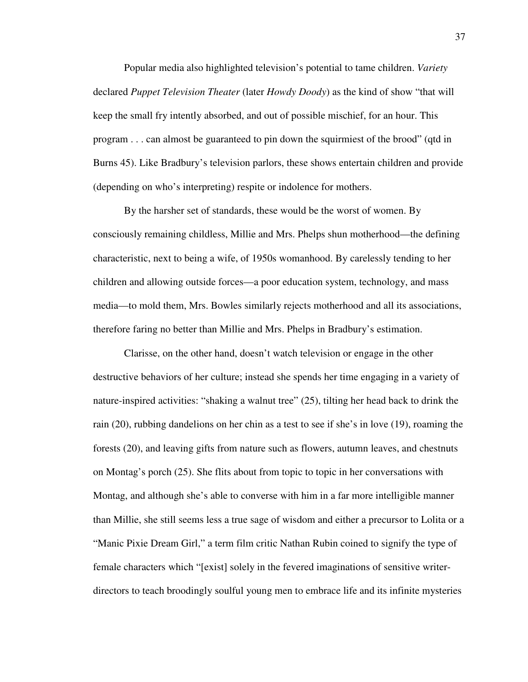Popular media also highlighted television's potential to tame children. *Variety* declared *Puppet Television Theater* (later *Howdy Doody*) as the kind of show "that will keep the small fry intently absorbed, and out of possible mischief, for an hour. This program . . . can almost be guaranteed to pin down the squirmiest of the brood" (qtd in Burns 45). Like Bradbury's television parlors, these shows entertain children and provide (depending on who's interpreting) respite or indolence for mothers.

By the harsher set of standards, these would be the worst of women. By consciously remaining childless, Millie and Mrs. Phelps shun motherhood—the defining characteristic, next to being a wife, of 1950s womanhood. By carelessly tending to her children and allowing outside forces—a poor education system, technology, and mass media—to mold them, Mrs. Bowles similarly rejects motherhood and all its associations, therefore faring no better than Millie and Mrs. Phelps in Bradbury's estimation.

Clarisse, on the other hand, doesn't watch television or engage in the other destructive behaviors of her culture; instead she spends her time engaging in a variety of nature-inspired activities: "shaking a walnut tree" (25), tilting her head back to drink the rain (20), rubbing dandelions on her chin as a test to see if she's in love (19), roaming the forests (20), and leaving gifts from nature such as flowers, autumn leaves, and chestnuts on Montag's porch (25). She flits about from topic to topic in her conversations with Montag, and although she's able to converse with him in a far more intelligible manner than Millie, she still seems less a true sage of wisdom and either a precursor to Lolita or a "Manic Pixie Dream Girl," a term film critic Nathan Rubin coined to signify the type of female characters which "[exist] solely in the fevered imaginations of sensitive writerdirectors to teach broodingly soulful young men to embrace life and its infinite mysteries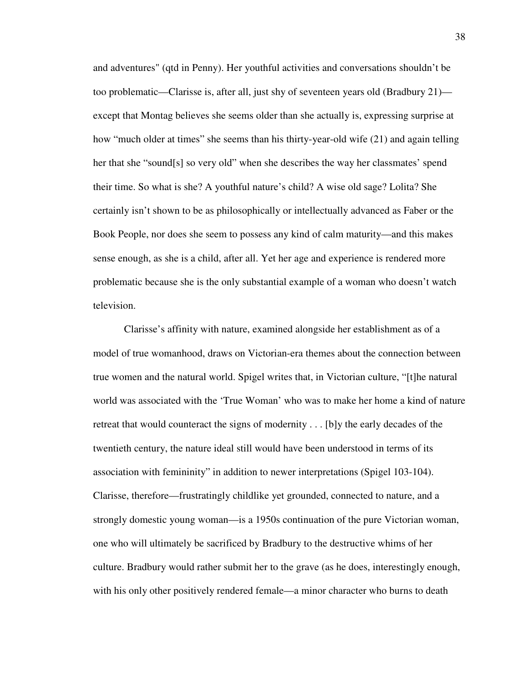and adventures" (qtd in Penny). Her youthful activities and conversations shouldn't be too problematic—Clarisse is, after all, just shy of seventeen years old (Bradbury 21) except that Montag believes she seems older than she actually is, expressing surprise at how "much older at times" she seems than his thirty-year-old wife (21) and again telling her that she "sound[s] so very old" when she describes the way her classmates' spend their time. So what is she? A youthful nature's child? A wise old sage? Lolita? She certainly isn't shown to be as philosophically or intellectually advanced as Faber or the Book People, nor does she seem to possess any kind of calm maturity—and this makes sense enough, as she is a child, after all. Yet her age and experience is rendered more problematic because she is the only substantial example of a woman who doesn't watch television.

Clarisse's affinity with nature, examined alongside her establishment as of a model of true womanhood, draws on Victorian-era themes about the connection between true women and the natural world. Spigel writes that, in Victorian culture, "[t]he natural world was associated with the 'True Woman' who was to make her home a kind of nature retreat that would counteract the signs of modernity . . . [b]y the early decades of the twentieth century, the nature ideal still would have been understood in terms of its association with femininity" in addition to newer interpretations (Spigel 103-104). Clarisse, therefore—frustratingly childlike yet grounded, connected to nature, and a strongly domestic young woman—is a 1950s continuation of the pure Victorian woman, one who will ultimately be sacrificed by Bradbury to the destructive whims of her culture. Bradbury would rather submit her to the grave (as he does, interestingly enough, with his only other positively rendered female—a minor character who burns to death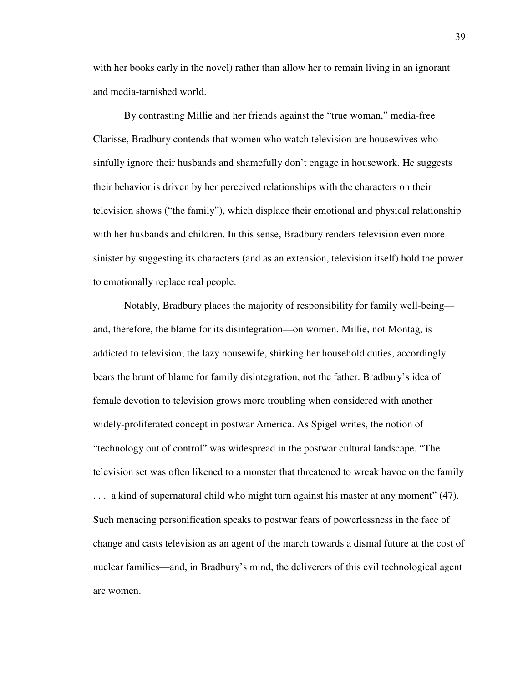with her books early in the novel) rather than allow her to remain living in an ignorant and media-tarnished world.

By contrasting Millie and her friends against the "true woman," media-free Clarisse, Bradbury contends that women who watch television are housewives who sinfully ignore their husbands and shamefully don't engage in housework. He suggests their behavior is driven by her perceived relationships with the characters on their television shows ("the family"), which displace their emotional and physical relationship with her husbands and children. In this sense, Bradbury renders television even more sinister by suggesting its characters (and as an extension, television itself) hold the power to emotionally replace real people.

Notably, Bradbury places the majority of responsibility for family well-being and, therefore, the blame for its disintegration—on women. Millie, not Montag, is addicted to television; the lazy housewife, shirking her household duties, accordingly bears the brunt of blame for family disintegration, not the father. Bradbury's idea of female devotion to television grows more troubling when considered with another widely-proliferated concept in postwar America. As Spigel writes, the notion of "technology out of control" was widespread in the postwar cultural landscape. "The television set was often likened to a monster that threatened to wreak havoc on the family . . . a kind of supernatural child who might turn against his master at any moment" (47). Such menacing personification speaks to postwar fears of powerlessness in the face of change and casts television as an agent of the march towards a dismal future at the cost of nuclear families—and, in Bradbury's mind, the deliverers of this evil technological agent are women.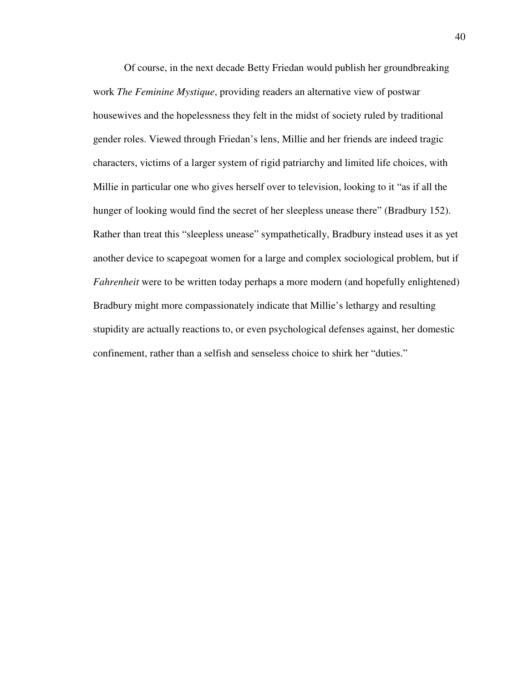Of course, in the next decade Betty Friedan would publish her groundbreaking work *The Feminine Mystique*, providing readers an alternative view of postwar housewives and the hopelessness they felt in the midst of society ruled by traditional gender roles. Viewed through Friedan's lens, Millie and her friends are indeed tragic characters, victims of a larger system of rigid patriarchy and limited life choices, with Millie in particular one who gives herself over to television, looking to it "as if all the hunger of looking would find the secret of her sleepless unease there" (Bradbury 152). Rather than treat this "sleepless unease" sympathetically, Bradbury instead uses it as yet another device to scapegoat women for a large and complex sociological problem, but if *Fahrenheit* were to be written today perhaps a more modern (and hopefully enlightened) Bradbury might more compassionately indicate that Millie's lethargy and resulting stupidity are actually reactions to, or even psychological defenses against, her domestic confinement, rather than a selfish and senseless choice to shirk her "duties."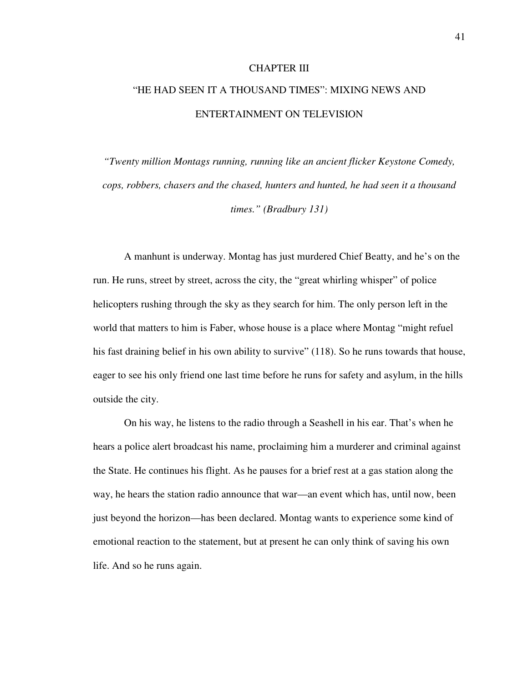#### CHAPTER III

## "HE HAD SEEN IT A THOUSAND TIMES": MIXING NEWS AND ENTERTAINMENT ON TELEVISION

*"Twenty million Montags running, running like an ancient flicker Keystone Comedy, cops, robbers, chasers and the chased, hunters and hunted, he had seen it a thousand times." (Bradbury 131)* 

A manhunt is underway. Montag has just murdered Chief Beatty, and he's on the run. He runs, street by street, across the city, the "great whirling whisper" of police helicopters rushing through the sky as they search for him. The only person left in the world that matters to him is Faber, whose house is a place where Montag "might refuel his fast draining belief in his own ability to survive" (118). So he runs towards that house, eager to see his only friend one last time before he runs for safety and asylum, in the hills outside the city.

On his way, he listens to the radio through a Seashell in his ear. That's when he hears a police alert broadcast his name, proclaiming him a murderer and criminal against the State. He continues his flight. As he pauses for a brief rest at a gas station along the way, he hears the station radio announce that war—an event which has, until now, been just beyond the horizon—has been declared. Montag wants to experience some kind of emotional reaction to the statement, but at present he can only think of saving his own life. And so he runs again.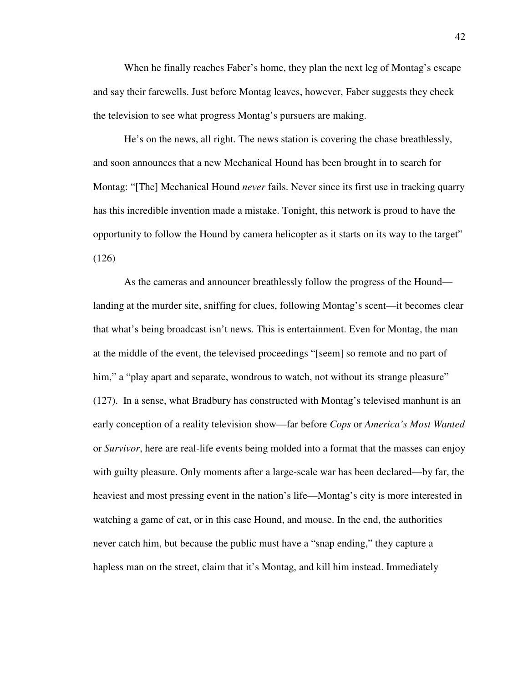When he finally reaches Faber's home, they plan the next leg of Montag's escape and say their farewells. Just before Montag leaves, however, Faber suggests they check the television to see what progress Montag's pursuers are making.

He's on the news, all right. The news station is covering the chase breathlessly, and soon announces that a new Mechanical Hound has been brought in to search for Montag: "[The] Mechanical Hound *never* fails. Never since its first use in tracking quarry has this incredible invention made a mistake. Tonight, this network is proud to have the opportunity to follow the Hound by camera helicopter as it starts on its way to the target" (126)

As the cameras and announcer breathlessly follow the progress of the Hound landing at the murder site, sniffing for clues, following Montag's scent—it becomes clear that what's being broadcast isn't news. This is entertainment. Even for Montag, the man at the middle of the event, the televised proceedings "[seem] so remote and no part of him," a "play apart and separate, wondrous to watch, not without its strange pleasure" (127). In a sense, what Bradbury has constructed with Montag's televised manhunt is an early conception of a reality television show—far before *Cops* or *America's Most Wanted* or *Survivor*, here are real-life events being molded into a format that the masses can enjoy with guilty pleasure. Only moments after a large-scale war has been declared—by far, the heaviest and most pressing event in the nation's life—Montag's city is more interested in watching a game of cat, or in this case Hound, and mouse. In the end, the authorities never catch him, but because the public must have a "snap ending," they capture a hapless man on the street, claim that it's Montag, and kill him instead. Immediately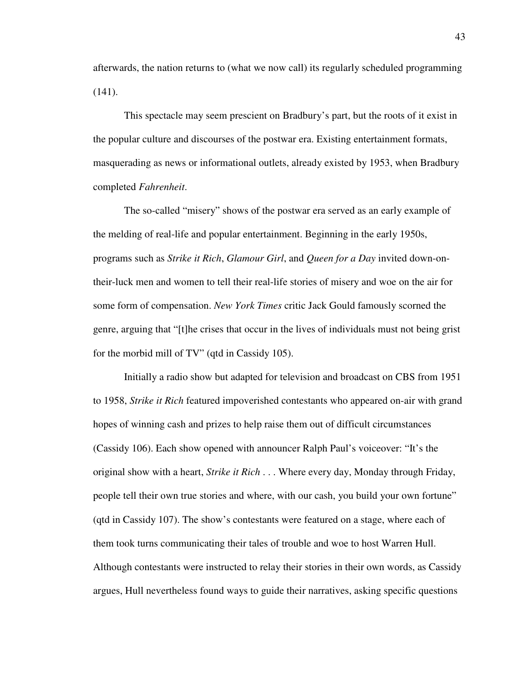afterwards, the nation returns to (what we now call) its regularly scheduled programming (141).

This spectacle may seem prescient on Bradbury's part, but the roots of it exist in the popular culture and discourses of the postwar era. Existing entertainment formats, masquerading as news or informational outlets, already existed by 1953, when Bradbury completed *Fahrenheit*.

The so-called "misery" shows of the postwar era served as an early example of the melding of real-life and popular entertainment. Beginning in the early 1950s, programs such as *Strike it Rich*, *Glamour Girl*, and *Queen for a Day* invited down-ontheir-luck men and women to tell their real-life stories of misery and woe on the air for some form of compensation. *New York Times* critic Jack Gould famously scorned the genre, arguing that "[t]he crises that occur in the lives of individuals must not being grist for the morbid mill of TV" (qtd in Cassidy 105).

Initially a radio show but adapted for television and broadcast on CBS from 1951 to 1958, *Strike it Rich* featured impoverished contestants who appeared on-air with grand hopes of winning cash and prizes to help raise them out of difficult circumstances (Cassidy 106). Each show opened with announcer Ralph Paul's voiceover: "It's the original show with a heart, *Strike it Rich* . . . Where every day, Monday through Friday, people tell their own true stories and where, with our cash, you build your own fortune" (qtd in Cassidy 107). The show's contestants were featured on a stage, where each of them took turns communicating their tales of trouble and woe to host Warren Hull. Although contestants were instructed to relay their stories in their own words, as Cassidy argues, Hull nevertheless found ways to guide their narratives, asking specific questions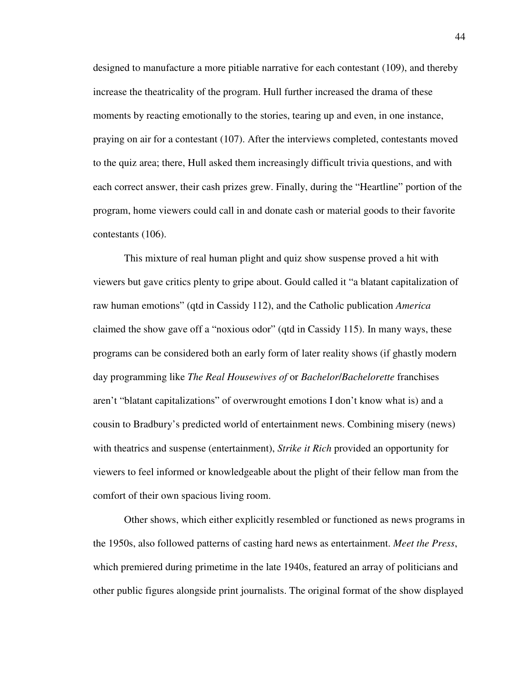designed to manufacture a more pitiable narrative for each contestant (109), and thereby increase the theatricality of the program. Hull further increased the drama of these moments by reacting emotionally to the stories, tearing up and even, in one instance, praying on air for a contestant (107). After the interviews completed, contestants moved to the quiz area; there, Hull asked them increasingly difficult trivia questions, and with each correct answer, their cash prizes grew. Finally, during the "Heartline" portion of the program, home viewers could call in and donate cash or material goods to their favorite contestants (106).

This mixture of real human plight and quiz show suspense proved a hit with viewers but gave critics plenty to gripe about. Gould called it "a blatant capitalization of raw human emotions" (qtd in Cassidy 112), and the Catholic publication *America* claimed the show gave off a "noxious odor" (qtd in Cassidy 115). In many ways, these programs can be considered both an early form of later reality shows (if ghastly modern day programming like *The Real Housewives of* or *Bachelor*/*Bachelorette* franchises aren't "blatant capitalizations" of overwrought emotions I don't know what is) and a cousin to Bradbury's predicted world of entertainment news. Combining misery (news) with theatrics and suspense (entertainment), *Strike it Rich* provided an opportunity for viewers to feel informed or knowledgeable about the plight of their fellow man from the comfort of their own spacious living room.

Other shows, which either explicitly resembled or functioned as news programs in the 1950s, also followed patterns of casting hard news as entertainment. *Meet the Press*, which premiered during primetime in the late 1940s, featured an array of politicians and other public figures alongside print journalists. The original format of the show displayed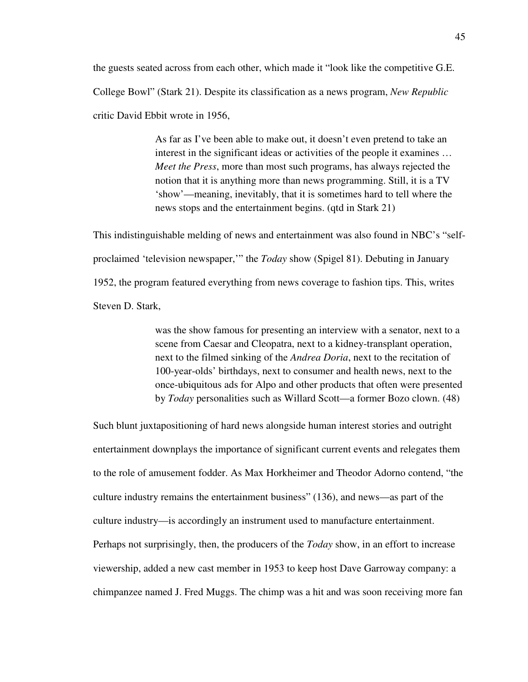the guests seated across from each other, which made it "look like the competitive G.E. College Bowl" (Stark 21). Despite its classification as a news program, *New Republic* critic David Ebbit wrote in 1956,

> As far as I've been able to make out, it doesn't even pretend to take an interest in the significant ideas or activities of the people it examines … *Meet the Press*, more than most such programs, has always rejected the notion that it is anything more than news programming. Still, it is a TV 'show'—meaning, inevitably, that it is sometimes hard to tell where the news stops and the entertainment begins. (qtd in Stark 21)

This indistinguishable melding of news and entertainment was also found in NBC's "selfproclaimed 'television newspaper,'" the *Today* show (Spigel 81). Debuting in January 1952, the program featured everything from news coverage to fashion tips. This, writes Steven D. Stark,

> was the show famous for presenting an interview with a senator, next to a scene from Caesar and Cleopatra, next to a kidney-transplant operation, next to the filmed sinking of the *Andrea Doria*, next to the recitation of 100-year-olds' birthdays, next to consumer and health news, next to the once-ubiquitous ads for Alpo and other products that often were presented by *Today* personalities such as Willard Scott—a former Bozo clown. (48)

Such blunt juxtapositioning of hard news alongside human interest stories and outright entertainment downplays the importance of significant current events and relegates them to the role of amusement fodder. As Max Horkheimer and Theodor Adorno contend, "the culture industry remains the entertainment business" (136), and news—as part of the culture industry—is accordingly an instrument used to manufacture entertainment. Perhaps not surprisingly, then, the producers of the *Today* show, in an effort to increase viewership, added a new cast member in 1953 to keep host Dave Garroway company: a chimpanzee named J. Fred Muggs. The chimp was a hit and was soon receiving more fan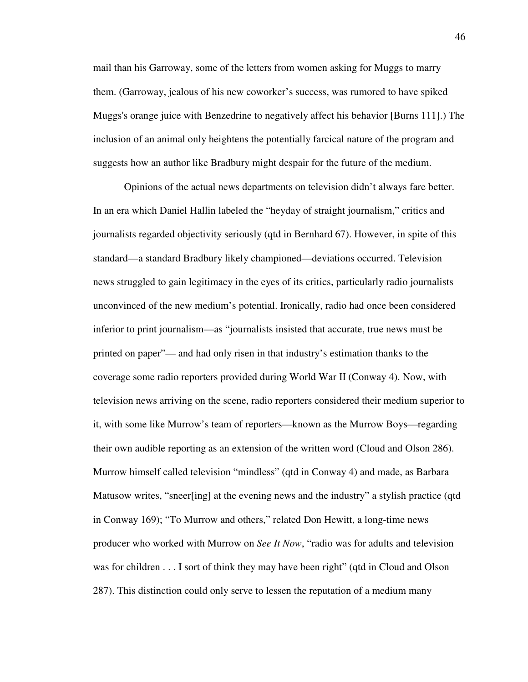mail than his Garroway, some of the letters from women asking for Muggs to marry them. (Garroway, jealous of his new coworker's success, was rumored to have spiked Muggs's orange juice with Benzedrine to negatively affect his behavior [Burns 111].) The inclusion of an animal only heightens the potentially farcical nature of the program and suggests how an author like Bradbury might despair for the future of the medium.

 Opinions of the actual news departments on television didn't always fare better. In an era which Daniel Hallin labeled the "heyday of straight journalism," critics and journalists regarded objectivity seriously (qtd in Bernhard 67). However, in spite of this standard—a standard Bradbury likely championed—deviations occurred. Television news struggled to gain legitimacy in the eyes of its critics, particularly radio journalists unconvinced of the new medium's potential. Ironically, radio had once been considered inferior to print journalism—as "journalists insisted that accurate, true news must be printed on paper"— and had only risen in that industry's estimation thanks to the coverage some radio reporters provided during World War II (Conway 4). Now, with television news arriving on the scene, radio reporters considered their medium superior to it, with some like Murrow's team of reporters—known as the Murrow Boys—regarding their own audible reporting as an extension of the written word (Cloud and Olson 286). Murrow himself called television "mindless" (qtd in Conway 4) and made, as Barbara Matusow writes, "sneer[ing] at the evening news and the industry" a stylish practice (qtd in Conway 169); "To Murrow and others," related Don Hewitt, a long-time news producer who worked with Murrow on *See It Now*, "radio was for adults and television was for children . . . I sort of think they may have been right" (qtd in Cloud and Olson 287). This distinction could only serve to lessen the reputation of a medium many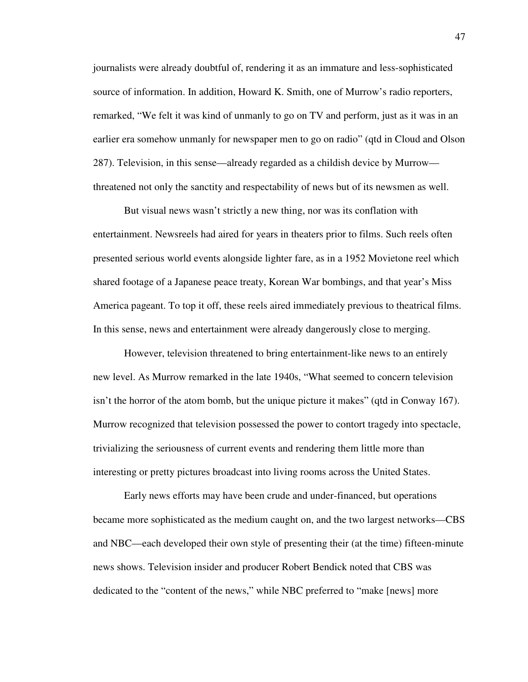journalists were already doubtful of, rendering it as an immature and less-sophisticated source of information. In addition, Howard K. Smith, one of Murrow's radio reporters, remarked, "We felt it was kind of unmanly to go on TV and perform, just as it was in an earlier era somehow unmanly for newspaper men to go on radio" (qtd in Cloud and Olson 287). Television, in this sense—already regarded as a childish device by Murrow threatened not only the sanctity and respectability of news but of its newsmen as well.

But visual news wasn't strictly a new thing, nor was its conflation with entertainment. Newsreels had aired for years in theaters prior to films. Such reels often presented serious world events alongside lighter fare, as in a 1952 Movietone reel which shared footage of a Japanese peace treaty, Korean War bombings, and that year's Miss America pageant. To top it off, these reels aired immediately previous to theatrical films. In this sense, news and entertainment were already dangerously close to merging.

However, television threatened to bring entertainment-like news to an entirely new level. As Murrow remarked in the late 1940s, "What seemed to concern television isn't the horror of the atom bomb, but the unique picture it makes" (qtd in Conway 167). Murrow recognized that television possessed the power to contort tragedy into spectacle, trivializing the seriousness of current events and rendering them little more than interesting or pretty pictures broadcast into living rooms across the United States.

Early news efforts may have been crude and under-financed, but operations became more sophisticated as the medium caught on, and the two largest networks—CBS and NBC—each developed their own style of presenting their (at the time) fifteen-minute news shows. Television insider and producer Robert Bendick noted that CBS was dedicated to the "content of the news," while NBC preferred to "make [news] more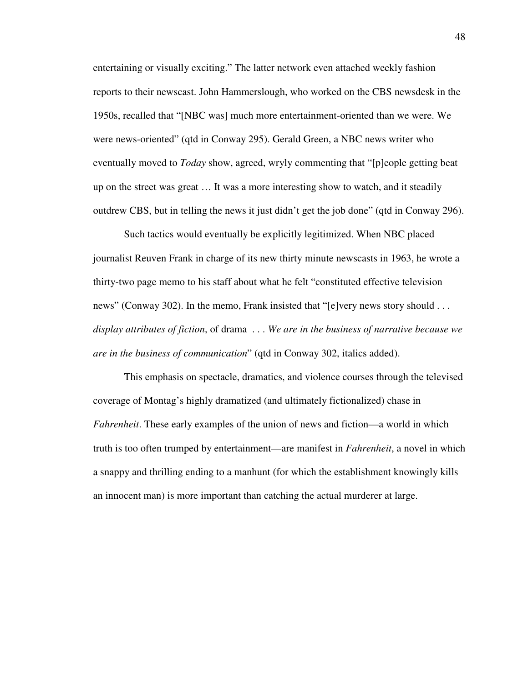entertaining or visually exciting." The latter network even attached weekly fashion reports to their newscast. John Hammerslough, who worked on the CBS newsdesk in the 1950s, recalled that "[NBC was] much more entertainment-oriented than we were. We were news-oriented" (qtd in Conway 295). Gerald Green, a NBC news writer who eventually moved to *Today* show, agreed, wryly commenting that "[p]eople getting beat up on the street was great … It was a more interesting show to watch, and it steadily outdrew CBS, but in telling the news it just didn't get the job done" (qtd in Conway 296).

Such tactics would eventually be explicitly legitimized. When NBC placed journalist Reuven Frank in charge of its new thirty minute newscasts in 1963, he wrote a thirty-two page memo to his staff about what he felt "constituted effective television news" (Conway 302). In the memo, Frank insisted that "[e]very news story should . . . *display attributes of fiction*, of drama . . . *We are in the business of narrative because we are in the business of communication*" (qtd in Conway 302, italics added).

This emphasis on spectacle, dramatics, and violence courses through the televised coverage of Montag's highly dramatized (and ultimately fictionalized) chase in *Fahrenheit*. These early examples of the union of news and fiction—a world in which truth is too often trumped by entertainment—are manifest in *Fahrenheit*, a novel in which a snappy and thrilling ending to a manhunt (for which the establishment knowingly kills an innocent man) is more important than catching the actual murderer at large.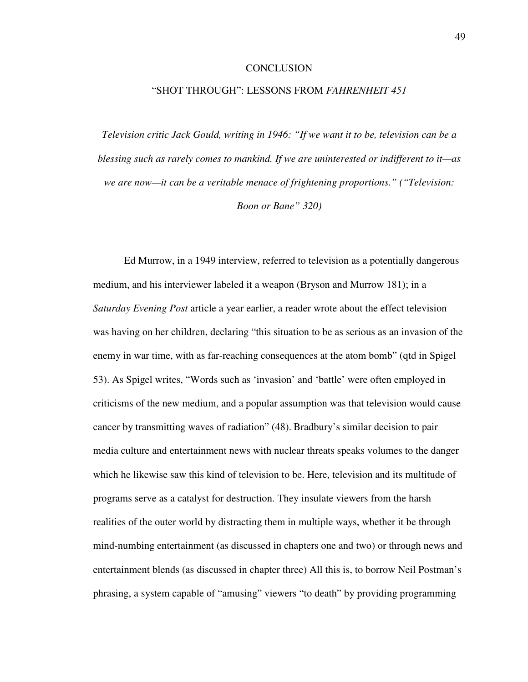#### **CONCLUSION**

#### "SHOT THROUGH": LESSONS FROM *FAHRENHEIT 451*

*Television critic Jack Gould, writing in 1946: "If we want it to be, television can be a blessing such as rarely comes to mankind. If we are uninterested or indifferent to it—as we are now—it can be a veritable menace of frightening proportions." ("Television:* 

*Boon or Bane" 320)* 

Ed Murrow, in a 1949 interview, referred to television as a potentially dangerous medium, and his interviewer labeled it a weapon (Bryson and Murrow 181); in a *Saturday Evening Post* article a year earlier, a reader wrote about the effect television was having on her children, declaring "this situation to be as serious as an invasion of the enemy in war time, with as far-reaching consequences at the atom bomb" (qtd in Spigel 53). As Spigel writes, "Words such as 'invasion' and 'battle' were often employed in criticisms of the new medium, and a popular assumption was that television would cause cancer by transmitting waves of radiation" (48). Bradbury's similar decision to pair media culture and entertainment news with nuclear threats speaks volumes to the danger which he likewise saw this kind of television to be. Here, television and its multitude of programs serve as a catalyst for destruction. They insulate viewers from the harsh realities of the outer world by distracting them in multiple ways, whether it be through mind-numbing entertainment (as discussed in chapters one and two) or through news and entertainment blends (as discussed in chapter three) All this is, to borrow Neil Postman's phrasing, a system capable of "amusing" viewers "to death" by providing programming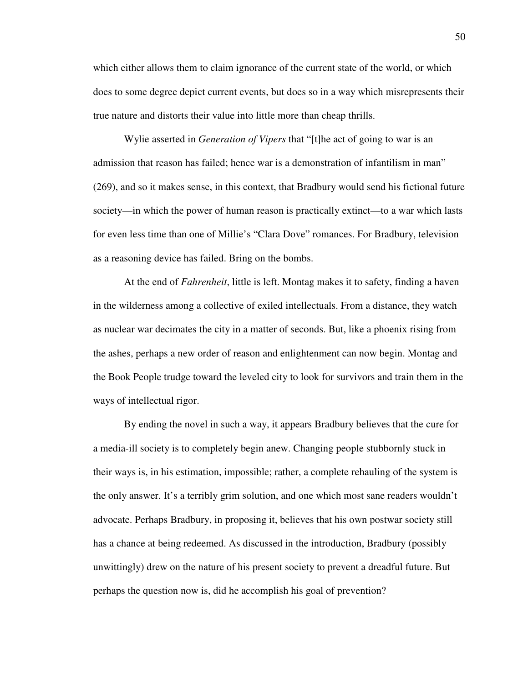which either allows them to claim ignorance of the current state of the world, or which does to some degree depict current events, but does so in a way which misrepresents their true nature and distorts their value into little more than cheap thrills.

Wylie asserted in *Generation of Vipers* that "[t]he act of going to war is an admission that reason has failed; hence war is a demonstration of infantilism in man" (269), and so it makes sense, in this context, that Bradbury would send his fictional future society—in which the power of human reason is practically extinct—to a war which lasts for even less time than one of Millie's "Clara Dove" romances. For Bradbury, television as a reasoning device has failed. Bring on the bombs.

At the end of *Fahrenheit*, little is left. Montag makes it to safety, finding a haven in the wilderness among a collective of exiled intellectuals. From a distance, they watch as nuclear war decimates the city in a matter of seconds. But, like a phoenix rising from the ashes, perhaps a new order of reason and enlightenment can now begin. Montag and the Book People trudge toward the leveled city to look for survivors and train them in the ways of intellectual rigor.

By ending the novel in such a way, it appears Bradbury believes that the cure for a media-ill society is to completely begin anew. Changing people stubbornly stuck in their ways is, in his estimation, impossible; rather, a complete rehauling of the system is the only answer. It's a terribly grim solution, and one which most sane readers wouldn't advocate. Perhaps Bradbury, in proposing it, believes that his own postwar society still has a chance at being redeemed. As discussed in the introduction, Bradbury (possibly unwittingly) drew on the nature of his present society to prevent a dreadful future. But perhaps the question now is, did he accomplish his goal of prevention?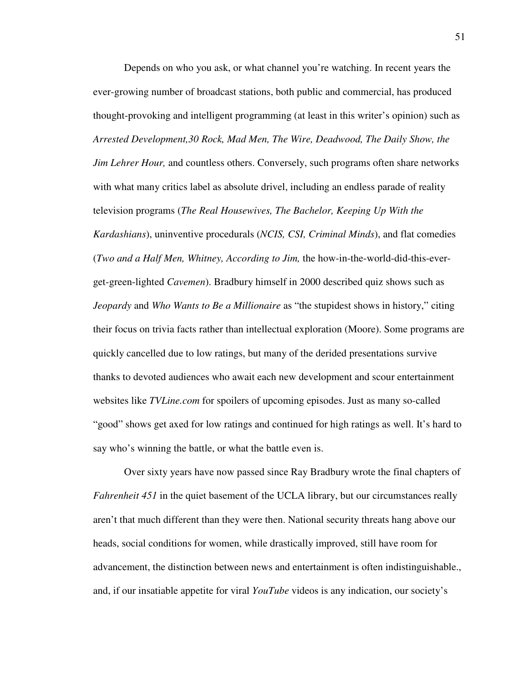Depends on who you ask, or what channel you're watching. In recent years the ever-growing number of broadcast stations, both public and commercial, has produced thought-provoking and intelligent programming (at least in this writer's opinion) such as *Arrested Development,30 Rock, Mad Men, The Wire, Deadwood, The Daily Show, the Jim Lehrer Hour,* and countless others. Conversely, such programs often share networks with what many critics label as absolute drivel, including an endless parade of reality television programs (*The Real Housewives, The Bachelor, Keeping Up With the Kardashians*), uninventive procedurals (*NCIS, CSI, Criminal Minds*), and flat comedies (*Two and a Half Men, Whitney, According to Jim,* the how-in-the-world-did-this-everget-green-lighted *Cavemen*). Bradbury himself in 2000 described quiz shows such as *Jeopardy* and *Who Wants to Be a Millionaire* as "the stupidest shows in history," citing their focus on trivia facts rather than intellectual exploration (Moore). Some programs are quickly cancelled due to low ratings, but many of the derided presentations survive thanks to devoted audiences who await each new development and scour entertainment websites like *TVLine.com* for spoilers of upcoming episodes. Just as many so-called "good" shows get axed for low ratings and continued for high ratings as well. It's hard to say who's winning the battle, or what the battle even is.

Over sixty years have now passed since Ray Bradbury wrote the final chapters of *Fahrenheit 451* in the quiet basement of the UCLA library, but our circumstances really aren't that much different than they were then. National security threats hang above our heads, social conditions for women, while drastically improved, still have room for advancement, the distinction between news and entertainment is often indistinguishable., and, if our insatiable appetite for viral *YouTube* videos is any indication, our society's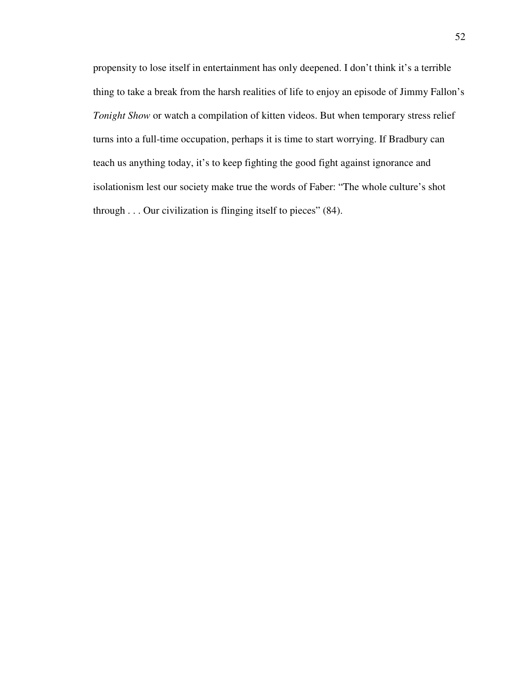propensity to lose itself in entertainment has only deepened. I don't think it's a terrible thing to take a break from the harsh realities of life to enjoy an episode of Jimmy Fallon's *Tonight Show* or watch a compilation of kitten videos. But when temporary stress relief turns into a full-time occupation, perhaps it is time to start worrying. If Bradbury can teach us anything today, it's to keep fighting the good fight against ignorance and isolationism lest our society make true the words of Faber: "The whole culture's shot through . . . Our civilization is flinging itself to pieces" (84).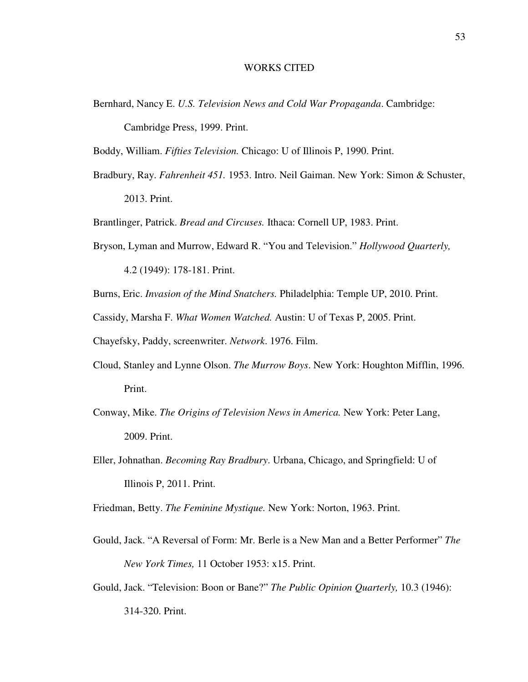#### WORKS CITED

Bernhard, Nancy E. *U.S. Television News and Cold War Propaganda*. Cambridge: Cambridge Press, 1999. Print.

Boddy, William. *Fifties Television.* Chicago: U of Illinois P, 1990. Print.

Bradbury, Ray. *Fahrenheit 451.* 1953. Intro. Neil Gaiman. New York: Simon & Schuster, 2013. Print.

Brantlinger, Patrick. *Bread and Circuses.* Ithaca: Cornell UP, 1983. Print.

Bryson, Lyman and Murrow, Edward R. "You and Television." *Hollywood Quarterly,* 

4.2 (1949): 178-181. Print.

Burns, Eric. *Invasion of the Mind Snatchers.* Philadelphia: Temple UP, 2010. Print.

Cassidy, Marsha F. *What Women Watched.* Austin: U of Texas P, 2005. Print.

Chayefsky, Paddy, screenwriter. *Network*. 1976. Film.

- Cloud, Stanley and Lynne Olson. *The Murrow Boys*. New York: Houghton Mifflin, 1996. Print.
- Conway, Mike. *The Origins of Television News in America.* New York: Peter Lang, 2009. Print.
- Eller, Johnathan. *Becoming Ray Bradbury*. Urbana, Chicago, and Springfield: U of Illinois P, 2011. Print.

Friedman, Betty. *The Feminine Mystique.* New York: Norton, 1963. Print.

- Gould, Jack. "A Reversal of Form: Mr. Berle is a New Man and a Better Performer" *The New York Times,* 11 October 1953: x15. Print.
- Gould, Jack. "Television: Boon or Bane?" *The Public Opinion Quarterly,* 10.3 (1946): 314-320. Print.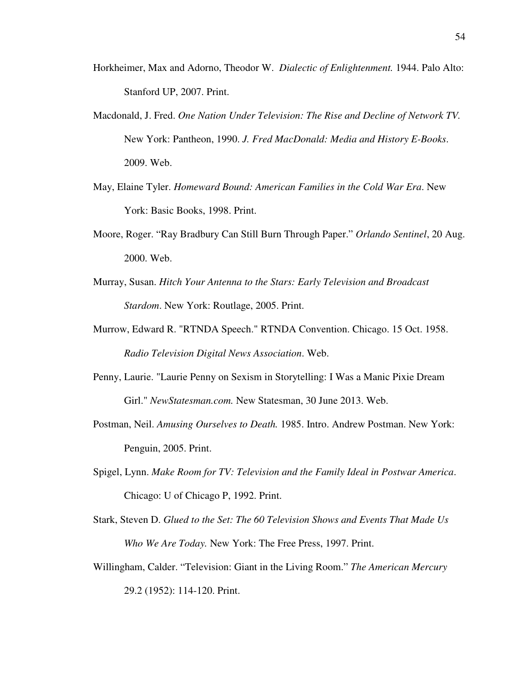- Horkheimer, Max and Adorno, Theodor W. *Dialectic of Enlightenment.* 1944. Palo Alto: Stanford UP, 2007. Print.
- Macdonald, J. Fred. *One Nation Under Television: The Rise and Decline of Network TV.*  New York: Pantheon, 1990. *J. Fred MacDonald: Media and History E-Books*. 2009. Web.
- May, Elaine Tyler. *Homeward Bound: American Families in the Cold War Era*. New York: Basic Books, 1998. Print.
- Moore, Roger. "Ray Bradbury Can Still Burn Through Paper." *Orlando Sentinel*, 20 Aug. 2000. Web.
- Murray, Susan. *Hitch Your Antenna to the Stars: Early Television and Broadcast Stardom*. New York: Routlage, 2005. Print.
- Murrow, Edward R. "RTNDA Speech." RTNDA Convention. Chicago. 15 Oct. 1958. *Radio Television Digital News Association*. Web.
- Penny, Laurie. "Laurie Penny on Sexism in Storytelling: I Was a Manic Pixie Dream Girl." *NewStatesman.com.* New Statesman, 30 June 2013. Web.
- Postman, Neil. *Amusing Ourselves to Death.* 1985. Intro. Andrew Postman. New York: Penguin, 2005. Print.
- Spigel, Lynn. *Make Room for TV: Television and the Family Ideal in Postwar America*. Chicago: U of Chicago P, 1992. Print.
- Stark, Steven D. *Glued to the Set: The 60 Television Shows and Events That Made Us Who We Are Today.* New York: The Free Press, 1997. Print.
- Willingham, Calder. "Television: Giant in the Living Room." *The American Mercury* 29.2 (1952): 114-120. Print.